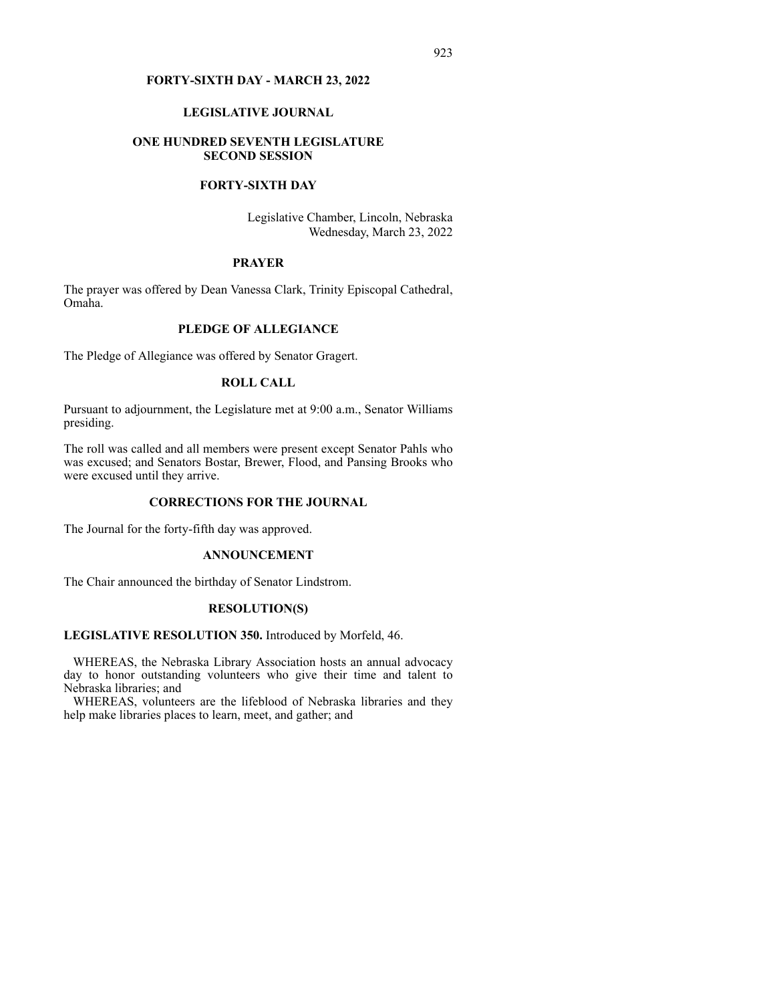## **FORTY-SIXTH DAY - MARCH 23, 2022**

## **LEGISLATIVE JOURNAL**

# **ONE HUNDRED SEVENTH LEGISLATURE SECOND SESSION**

# **FORTY-SIXTH DAY**

Legislative Chamber, Lincoln, Nebraska Wednesday, March 23, 2022

## **PRAYER**

The prayer was offered by Dean Vanessa Clark, Trinity Episcopal Cathedral, Omaha.

# **PLEDGE OF ALLEGIANCE**

The Pledge of Allegiance was offered by Senator Gragert.

# **ROLL CALL**

Pursuant to adjournment, the Legislature met at 9:00 a.m., Senator Williams presiding.

The roll was called and all members were present except Senator Pahls who was excused; and Senators Bostar, Brewer, Flood, and Pansing Brooks who were excused until they arrive.

# **CORRECTIONS FOR THE JOURNAL**

The Journal for the forty-fifth day was approved.

#### **ANNOUNCEMENT**

The Chair announced the birthday of Senator Lindstrom.

#### **RESOLUTION(S)**

# **LEGISLATIVE RESOLUTION 350.** Introduced by Morfeld, 46.

 WHEREAS, the Nebraska Library Association hosts an annual advocacy day to honor outstanding volunteers who give their time and talent to Nebraska libraries; and

 WHEREAS, volunteers are the lifeblood of Nebraska libraries and they help make libraries places to learn, meet, and gather; and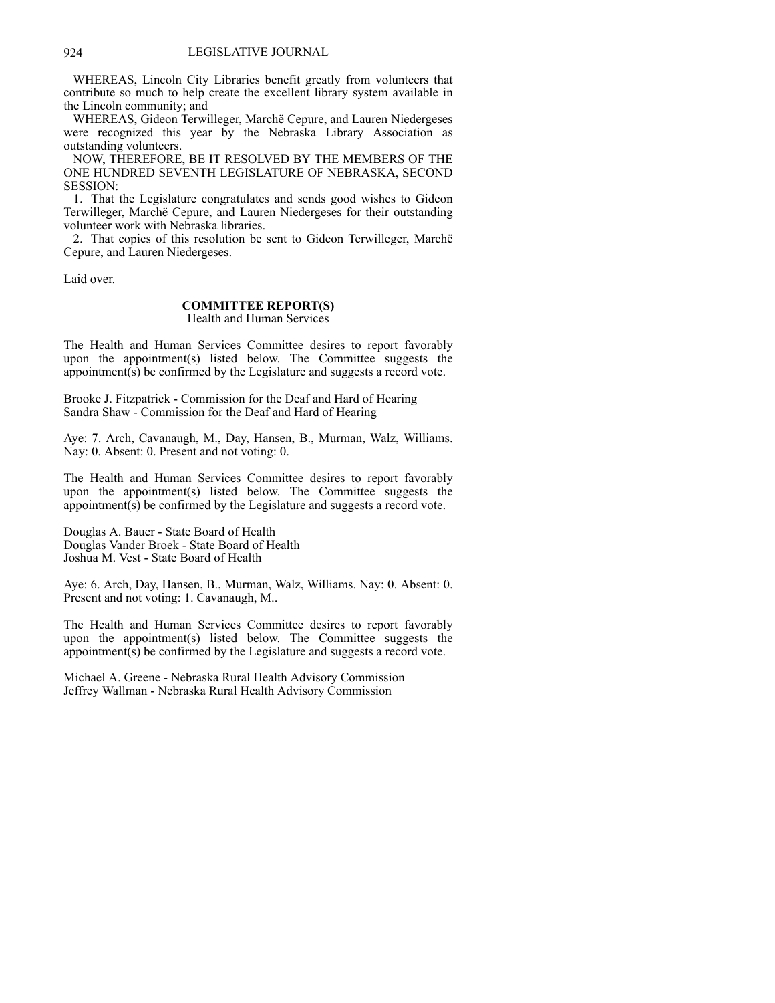WHEREAS, Lincoln City Libraries benefit greatly from volunteers that contribute so much to help create the excellent library system available in the Lincoln community; and

 WHEREAS, Gideon Terwilleger, Marchë Cepure, and Lauren Niedergeses were recognized this year by the Nebraska Library Association as outstanding volunteers.

 NOW, THEREFORE, BE IT RESOLVED BY THE MEMBERS OF THE ONE HUNDRED SEVENTH LEGISLATURE OF NEBRASKA, SECOND SESSION:

 1. That the Legislature congratulates and sends good wishes to Gideon Terwilleger, Marchë Cepure, and Lauren Niedergeses for their outstanding volunteer work with Nebraska libraries.

 2. That copies of this resolution be sent to Gideon Terwilleger, Marchë Cepure, and Lauren Niedergeses.

Laid over.

# **COMMITTEE REPORT(S)**

Health and Human Services

The Health and Human Services Committee desires to report favorably upon the appointment(s) listed below. The Committee suggests the appointment(s) be confirmed by the Legislature and suggests a record vote.

Brooke J. Fitzpatrick - Commission for the Deaf and Hard of Hearing Sandra Shaw - Commission for the Deaf and Hard of Hearing

Aye: 7. Arch, Cavanaugh, M., Day, Hansen, B., Murman, Walz, Williams. Nay: 0. Absent: 0. Present and not voting: 0.

The Health and Human Services Committee desires to report favorably upon the appointment(s) listed below. The Committee suggests the appointment(s) be confirmed by the Legislature and suggests a record vote.

Douglas A. Bauer - State Board of Health Douglas Vander Broek - State Board of Health Joshua M. Vest - State Board of Health

Aye: 6. Arch, Day, Hansen, B., Murman, Walz, Williams. Nay: 0. Absent: 0. Present and not voting: 1. Cavanaugh, M..

The Health and Human Services Committee desires to report favorably upon the appointment(s) listed below. The Committee suggests the appointment(s) be confirmed by the Legislature and suggests a record vote.

Michael A. Greene - Nebraska Rural Health Advisory Commission Jeffrey Wallman - Nebraska Rural Health Advisory Commission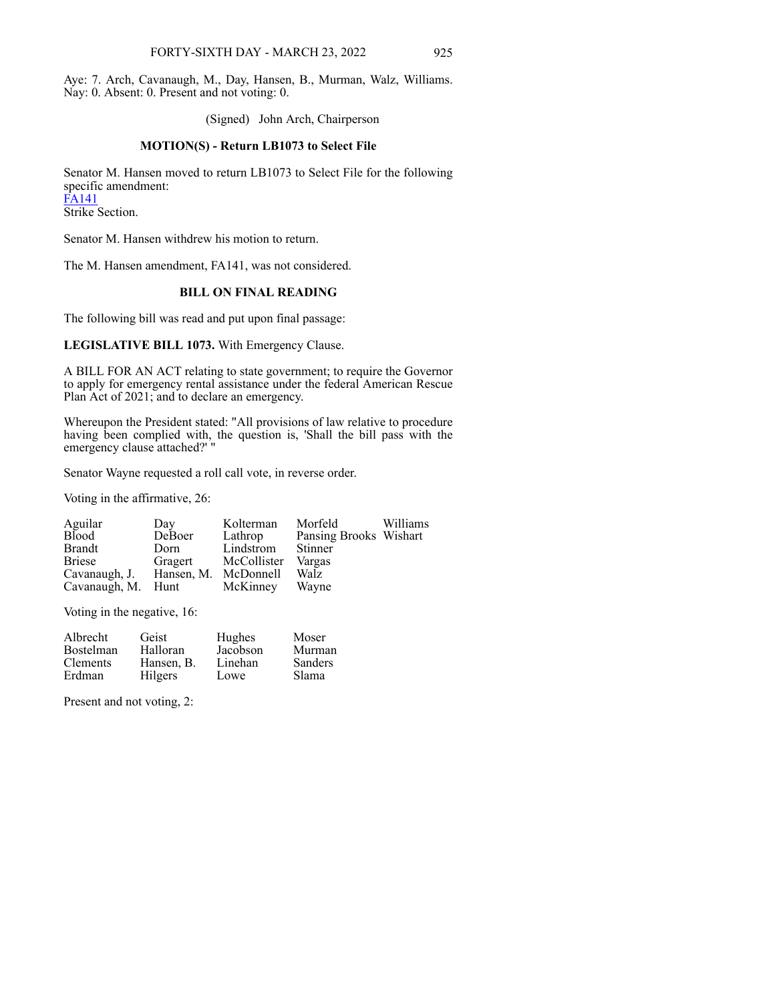Aye: 7. Arch, Cavanaugh, M., Day, Hansen, B., Murman, Walz, Williams. Nay: 0. Absent: 0. Present and not voting: 0.

(Signed) John Arch, Chairperson

#### **MOTION(S) - Return LB1073 to Select File**

Senator M. Hansen moved to return LB1073 to Select File for the following specific amendment: [FA141](https://www.nebraskalegislature.gov/FloorDocs/107/PDF/AM/FA141.pdf) Strike Section.

Senator M. Hansen withdrew his motion to return.

The M. Hansen amendment, FA141, was not considered.

# **BILL ON FINAL READING**

The following bill was read and put upon final passage:

**LEGISLATIVE BILL 1073.** With Emergency Clause.

A BILL FOR AN ACT relating to state government; to require the Governor to apply for emergency rental assistance under the federal American Rescue Plan Act of 2021; and to declare an emergency.

Whereupon the President stated: "All provisions of law relative to procedure having been complied with, the question is, 'Shall the bill pass with the emergency clause attached?' "

Senator Wayne requested a roll call vote, in reverse order.

Voting in the affirmative, 26:

| Aguilar                            | Day     | Kolterman   | Morfeld                | Williams |
|------------------------------------|---------|-------------|------------------------|----------|
| Blood                              | DeBoer  | Lathrop     | Pansing Brooks Wishart |          |
| Brandt                             | Dorn    | Lindstrom   | Stinner                |          |
| <b>Briese</b>                      | Gragert | McCollister | Vargas                 |          |
| Cavanaugh, J. Hansen, M. McDonnell |         |             | Walz                   |          |
| Cavanaugh, M. Hunt                 |         | McKinney    | Wavne                  |          |

Voting in the negative, 16:

| Albrecht         | Geist      | Hughes   | Moser          |
|------------------|------------|----------|----------------|
| <b>Bostelman</b> | Halloran   | Jacobson | Murman         |
| <b>Clements</b>  | Hansen, B. | Linehan  | <b>Sanders</b> |
| Erdman           | Hilgers    | Lowe     | <b>Slama</b>   |

Present and not voting, 2: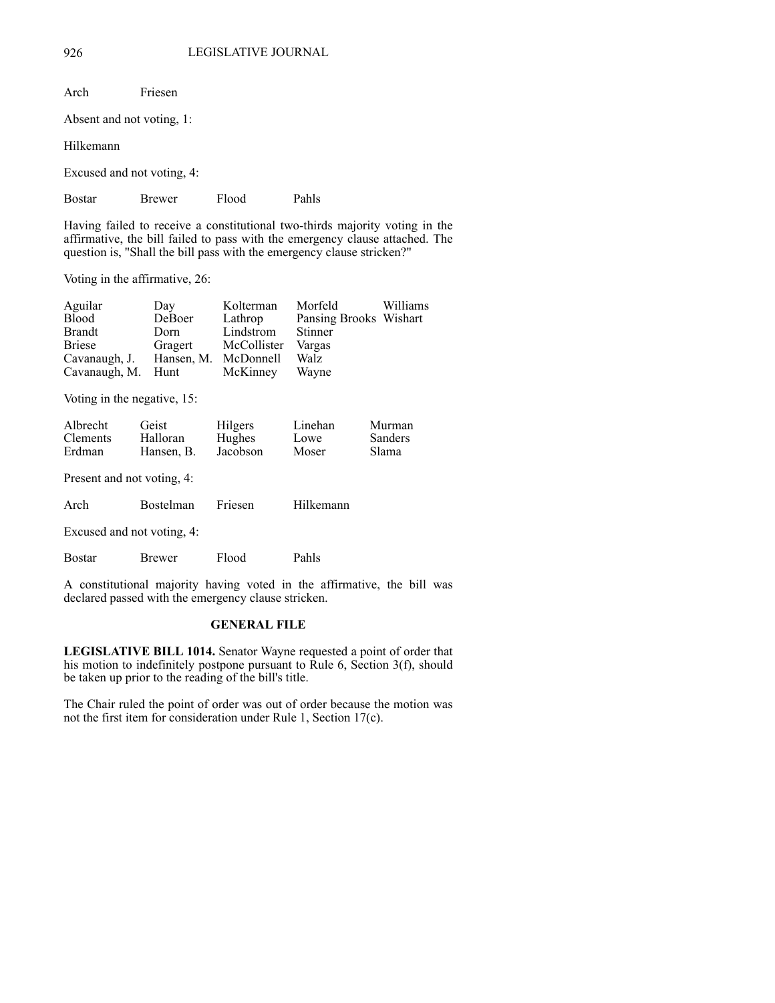| Arch                                                                                                                                                                                                                                  | Friesen                    |       |                                                               |          |  |  |  |  |  |
|---------------------------------------------------------------------------------------------------------------------------------------------------------------------------------------------------------------------------------------|----------------------------|-------|---------------------------------------------------------------|----------|--|--|--|--|--|
|                                                                                                                                                                                                                                       | Absent and not voting, 1:  |       |                                                               |          |  |  |  |  |  |
| Hilkemann                                                                                                                                                                                                                             |                            |       |                                                               |          |  |  |  |  |  |
|                                                                                                                                                                                                                                       | Excused and not voting, 4: |       |                                                               |          |  |  |  |  |  |
| Bostar                                                                                                                                                                                                                                | <b>Brewer</b>              | Flood | Pahls                                                         |          |  |  |  |  |  |
| Having failed to receive a constitutional two-thirds majority voting in the<br>affirmative, the bill failed to pass with the emergency clause attached. The<br>question is, "Shall the bill pass with the emergency clause stricken?" |                            |       |                                                               |          |  |  |  |  |  |
| Voting in the affirmative, 26:                                                                                                                                                                                                        |                            |       |                                                               |          |  |  |  |  |  |
| Aguilar<br>$Di \circ \circ \circ \circ$                                                                                                                                                                                               | Day                        |       | Kolterman Morfeld<br>Department Department Department Wishort | Williams |  |  |  |  |  |

| $\Delta$ gunar                     | Dαγ     | <b>IVOITULIII</b> GH | <u>IVIULIULU</u>       | VV IIIIGIII |
|------------------------------------|---------|----------------------|------------------------|-------------|
| Blood                              | DeBoer  | Lathrop              | Pansing Brooks Wishart |             |
| Brandt                             | Dorn    | Lindstrom            | Stinner                |             |
| Briese                             | Gragert | McCollister Vargas   |                        |             |
| Cavanaugh, J. Hansen, M. McDonnell |         |                      | Walz                   |             |
| Cavanaugh, M. Hunt                 |         | McKinney Wayne       |                        |             |
|                                    |         |                      |                        |             |

Voting in the negative, 15:

| Albrecht        | Geist      | Hilgers  | Linehan | Murman         |
|-----------------|------------|----------|---------|----------------|
| <b>Clements</b> | Halloran   | Hughes   | Lowe    | <b>Sanders</b> |
| Erdman          | Hansen, B. | Jacobson | Moser   | Slama          |
|                 |            |          |         |                |

Present and not voting, 4:

| Arch                       | Bostelman Friesen |       | Hilkemann |
|----------------------------|-------------------|-------|-----------|
| Excused and not voting, 4: |                   |       |           |
| <b>Bostar</b>              | Brewer            | Flood | Pahls     |

A constitutional majority having voted in the affirmative, the bill was declared passed with the emergency clause stricken.

# **GENERAL FILE**

**LEGISLATIVE BILL 1014.** Senator Wayne requested a point of order that his motion to indefinitely postpone pursuant to Rule 6, Section  $3(f)$ , should be taken up prior to the reading of the bill's title.

The Chair ruled the point of order was out of order because the motion was not the first item for consideration under Rule 1, Section 17(c).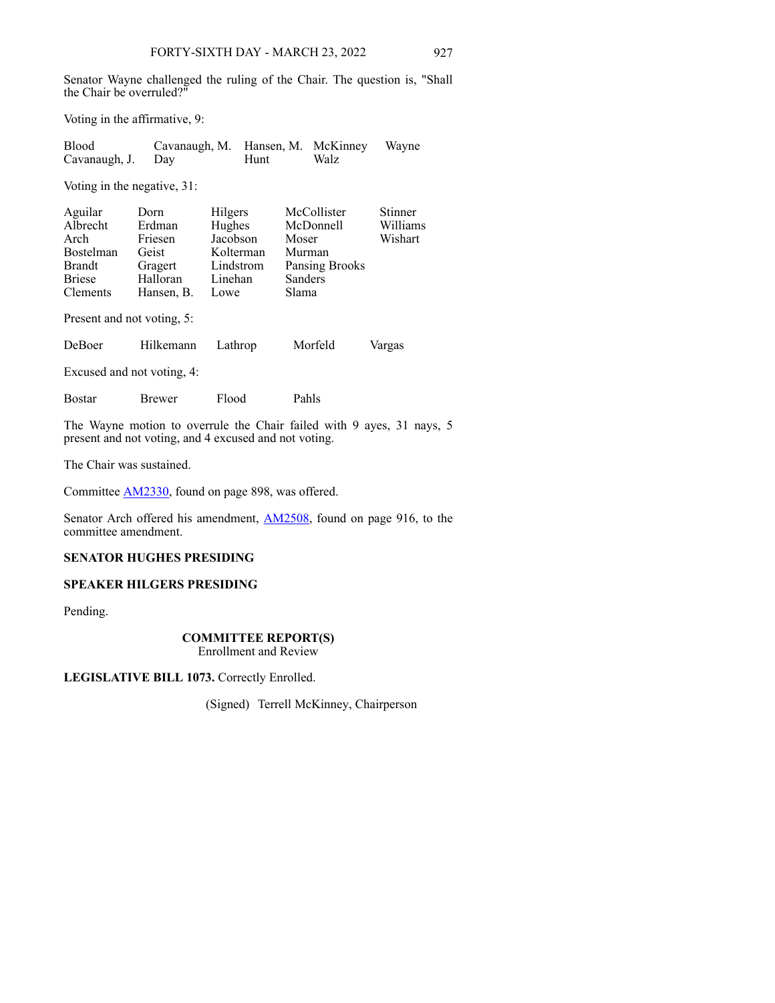Senator Wayne challenged the ruling of the Chair. The question is, "Shall the Chair be overruled?"

Voting in the affirmative, 9:

| Blood             | Cavanaugh, M. Hansen, M. McKinney Wayne |      |      |  |
|-------------------|-----------------------------------------|------|------|--|
| Cavanaugh, J. Day |                                         | Hunt | Walz |  |

Voting in the negative, 31:

| Aguilar                    | Dorn       | Hilgers   | McCollister    | Stinner  |  |  |
|----------------------------|------------|-----------|----------------|----------|--|--|
| Albrecht                   | Erdman     | Hughes    | McDonnell      | Williams |  |  |
| Arch                       | Friesen    | Jacobson  | Moser          | Wishart  |  |  |
| <b>Bostelman</b>           | Geist      | Kolterman | Murman         |          |  |  |
| <b>Brandt</b>              | Gragert    | Lindstrom | Pansing Brooks |          |  |  |
| <b>Briese</b>              | Halloran   | Linehan   | Sanders        |          |  |  |
| Clements                   | Hansen, B. | Lowe      | Slama          |          |  |  |
| Present and not voting, 5: |            |           |                |          |  |  |
| DeBoer                     | Hilkemann  | Lathrop   | Morfeld        | Vargas   |  |  |
| Excused and not voting, 4: |            |           |                |          |  |  |
| <b>Bostar</b>              | Brewer     | Flood     | Pahls          |          |  |  |

The Wayne motion to overrule the Chair failed with 9 ayes, 31 nays, 5 present and not voting, and 4 excused and not voting.

The Chair was sustained.

Committee [AM2330,](https://www.nebraskalegislature.gov/FloorDocs/107/PDF/AM/AM2330.pdf) found on page 898, was offered.

Senator Arch offered his amendment, **[AM2508](https://www.nebraskalegislature.gov/FloorDocs/107/PDF/AM/AM2508.pdf)**, found on page 916, to the committee amendment.

# **SENATOR HUGHES PRESIDING**

# **SPEAKER HILGERS PRESIDING**

Pending.

# **COMMITTEE REPORT(S)**

Enrollment and Review

**LEGISLATIVE BILL 1073.** Correctly Enrolled.

(Signed) Terrell McKinney, Chairperson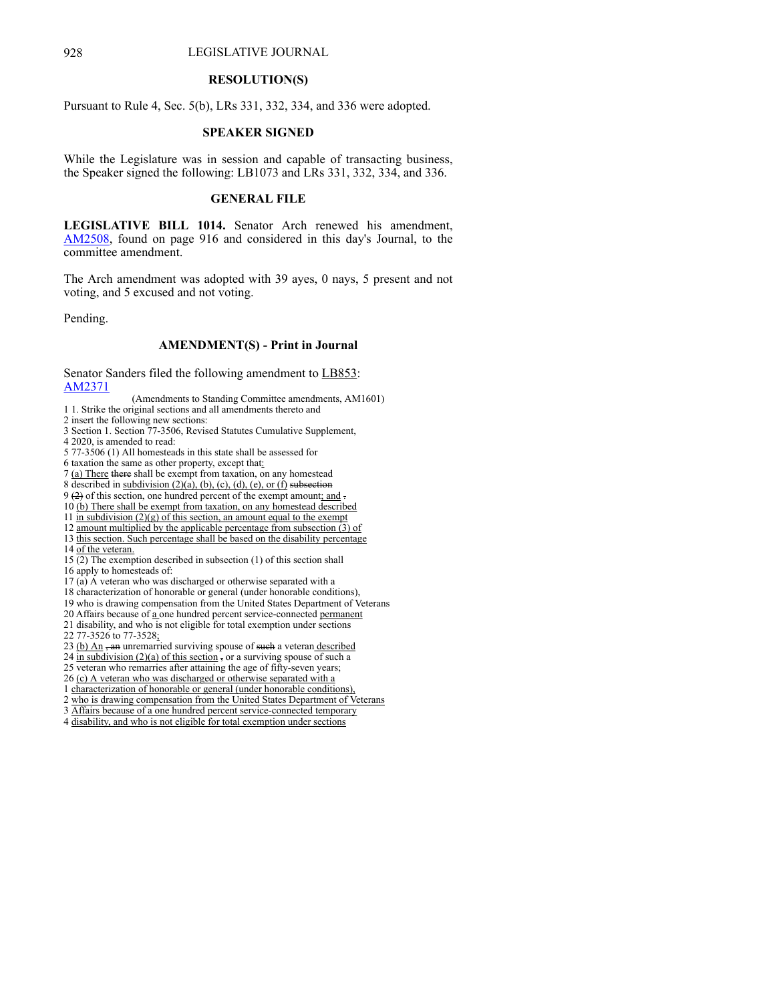#### 928 LEGISLATIVE JOURNAL

#### **RESOLUTION(S)**

Pursuant to Rule 4, Sec. 5(b), LRs 331, 332, 334, and 336 were adopted.

#### **SPEAKER SIGNED**

While the Legislature was in session and capable of transacting business, the Speaker signed the following: LB1073 and LRs 331, 332, 334, and 336.

# **GENERAL FILE**

**LEGISLATIVE BILL 1014.** Senator Arch renewed his amendment, [AM2508](https://www.nebraskalegislature.gov/FloorDocs/107/PDF/AM/AM2508.pdf), found on page 916 and considered in this day's Journal, to the committee amendment.

The Arch amendment was adopted with 39 ayes, 0 nays, 5 present and not voting, and 5 excused and not voting.

Pending.

## **AMENDMENT(S) - Print in Journal**

Senator Sanders filed the following amendment to LB853: [AM2371](https://www.nebraskalegislature.gov/FloorDocs/107/PDF/AM/AM2371.pdf)

(Amendments to Standing Committee amendments, AM1601)

1 1. Strike the original sections and all amendments thereto and

- 2 insert the following new sections:
- 3 Section 1. Section 77-3506, Revised Statutes Cumulative Supplement,
- 4 2020, is amended to read:
- 5 77-3506 (1) All homesteads in this state shall be assessed for
- 6 taxation the same as other property, except that:
- 7 (a) There there shall be exempt from taxation, on any homestead
- 8 described in  $subdivision (2)(a)$ , (b), (c), (d), (e), or (f) subsection
- 9 (2) of this section, one hundred percent of the exempt amount; and .
- 10 (b) There shall be exempt from taxation, on any homestead described
- 11 in subdivision  $(2)(g)$  of this section, an amount equal to the exempt
- 12 amount multiplied by the applicable percentage from subsection  $\overline{(3)}$  of
- 13 this section. Such percentage shall be based on the disability percentage
- 14 of the veteran.
- 15 (2) The exemption described in subsection (1) of this section shall
- 16 apply to homesteads of:
- $17$  (a) A veteran who was discharged or otherwise separated with a
- 18 characterization of honorable or general (under honorable conditions),
- 19 who is drawing compensation from the United States Department of Veterans
- 20 Affairs because of a one hundred percent service-connected permanent
- 21 disability, and who is not eligible for total exemption under sections
- 22 77-3526 to 77-3528;
- 23 (b) An an unremarried surviving spouse of such a veteran described
- 24 in subdivision  $(2)(a)$  of this section, or a surviving spouse of such a
- 25 veteran who remarries after attaining the age of fifty-seven years;
- 26 (c) A veteran who was discharged or otherwise separated with a
- 1 characterization of honorable or general (under honorable conditions),
- 2 who is drawing compensation from the United States Department of Veterans
- 3 Affairs because of a one hundred percent service-connected temporary
- 4 disability, and who is not eligible for total exemption under sections
-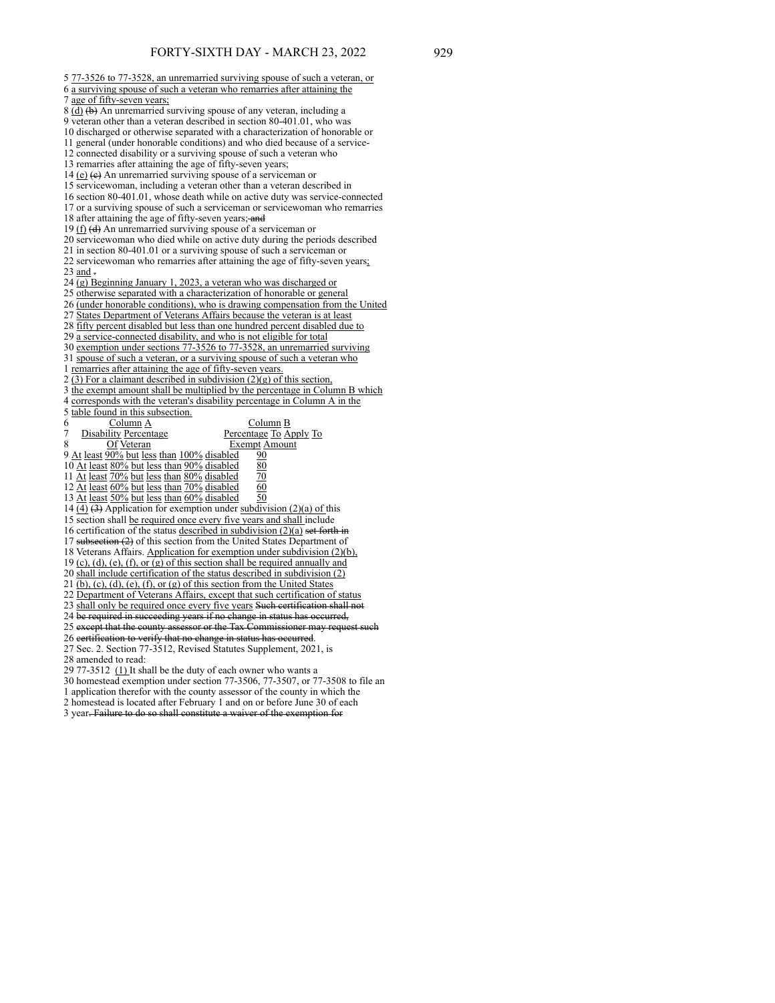5 77-3526 to 77-3528, an unremarried surviving spouse of such a veteran, or 6 a surviving spouse of such a veteran who remarries after attaining the 7 age of fifty-seven years; 8 (d) (b) An unremarried surviving spouse of any veteran, including a 9 veteran other than a veteran described in section 80-401.01, who was 10 discharged or otherwise separated with a characterization of honorable or 11 general (under honorable conditions) and who died because of a service-12 connected disability or a surviving spouse of such a veteran who 13 remarries after attaining the age of fifty-seven years; 14  $(e)$  (e) An unremarried surviving spouse of a serviceman or 15 servicewoman, including a veteran other than a veteran described in 16 section 80-401.01, whose death while on active duty was service-connected 17 or a surviving spouse of such a serviceman or servicewoman who remarries 18 after attaining the age of fifty-seven years; and 19  $(f)$  (d) An unremarried surviving spouse of a serviceman or 20 servicewoman who died while on active duty during the periods described 21 in section 80-401.01 or a surviving spouse of such a serviceman or 22 servicewoman who remarries after attaining the age of fifty-seven years; 23 and -24 (g) Beginning January 1, 2023, a veteran who was discharged or 25 otherwise separated with a characterization of honorable or general 26 (under honorable conditions), who is drawing compensation from the United 27 States Department of Veterans Affairs because the veteran is at least 28 fifty percent disabled but less than one hundred percent disabled due to 29 a service-connected disability, and who is not eligible for total 30 exemption under sections 77-3526 to 77-3528, an unremarried surviving 31 spouse of such a veteran, or a surviving spouse of such a veteran who 1 remarries after attaining the age of fifty-seven years. 2 (3) For a claimant described in subdivision  $(2)(g)$  of this section, 3 the exempt amount shall be multiplied by the percentage in Column B which 4 corresponds with the veteran's disability percentage in Column A in the 5 table found in this subsection. 6 Column A Column B Disability Percentage **Percentage To Apply To** 8 Of Veteran Exempt Amount 9 At least 90% but less than 100% disabled 90 10 At least 80% but less than 90% disabled 80 11 At least  $70\%$  but less than  $80\%$  disabled  $70$ 12 At least  $60\%$  but less than  $70\%$  disabled  $60$ 13  $\overline{\text{At}}$  least  $\overline{50\%}$  but less than  $\overline{60\%}$  disabled  $\overline{50}$ 14  $\overline{(4)}$   $\overline{(3)}$  Application for exemption under subdivision (2)(a) of this 15 section shall be required once every five years and shall include 16 certification of the status described in subdivision  $(2)(a)$  set forth 17 subsection (2) of this section from the United States Department of 18 Veterans Affairs. Application for exemption under subdivision (2)(b), 19 (c), (d), (e), (f), or (g) of this section shall be required annually and 20 shall include certification of the status described in subdivision (2) 21 (b), (c), (d), (e), (f), or (g) of this section from the United States 22 Department of Veterans Affairs, except that such certification of status 23 shall only be required once every five years Such certification shall not 24 be required in succeeding years if no change in status has occurred, 25 except that the county assessor or the Tax Commissioner may 26 certification to verify that no change in status has occurred. 27 Sec. 2. Section 77-3512, Revised Statutes Supplement, 2021, is 28 amended to read: 29 77-3512 (1) It shall be the duty of each owner who wants a

30 homestead exemption under section 77-3506, 77-3507, or 77-3508 to file an

1 application therefor with the county assessor of the county in which the

2 homestead is located after February 1 and on or before June 30 of each

3 year. Failure to do so shall constitute a waiver of the exemption for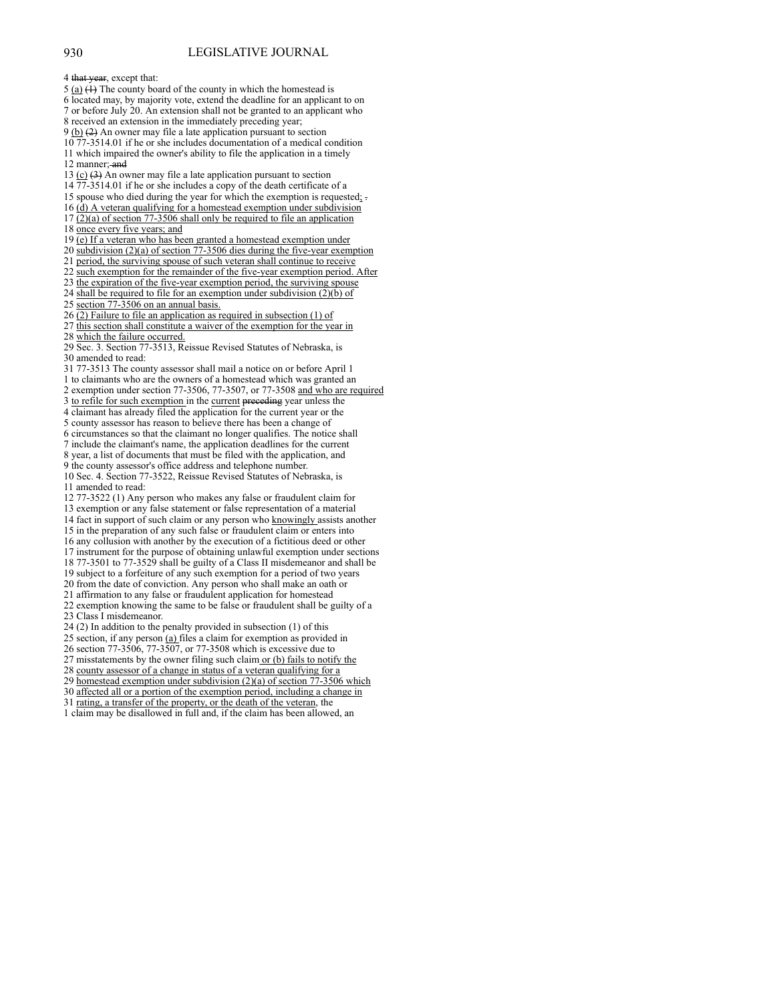4 that year, except that: 5 (a)  $(1)$  The county board of the county in which the homestead is 6 located may, by majority vote, extend the deadline for an applicant to on 7 or before July 20. An extension shall not be granted to an applicant who 8 received an extension in the immediately preceding year; 9 (b) (2) An owner may file a late application pursuant to section 10 77-3514.01 if he or she includes documentation of a medical condition 11 which impaired the owner's ability to file the application in a timely 12 manner: and 13  $(c)$  (3) An owner may file a late application pursuant to section 14 77-3514.01 if he or she includes a copy of the death certificate of a 15 spouse who died during the year for which the exemption is requested; . 16 (d) A veteran qualifying for a homestead exemption under subdivision  $17 \overline{(2)}$ (a) of section  $77\overline{-3506}$  shall only be required to file an application 18 once every five years; and 19 (e) If a veteran who has been granted a homestead exemption under 20 subdivision (2)(a) of section 77-3506 dies during the five-year exemption 21 period, the surviving spouse of such veteran shall continue to receive 22 such exemption for the remainder of the five-year exemption period. After 23 the expiration of the five-year exemption period, the surviving spouse 24 shall be required to file for an exemption under subdivision  $(2)(\bar{b})$  of 25 section 77-3506 on an annual basis. 26 (2) Failure to file an application as required in subsection (1) of 27 this section shall constitute a waiver of the exemption for the year in 28 which the failure occurred. 29 Sec. 3. Section 77-3513, Reissue Revised Statutes of Nebraska, is 30 amended to read: 31 77-3513 The county assessor shall mail a notice on or before April 1 1 to claimants who are the owners of a homestead which was granted an 2 exemption under section 77-3506, 77-3507, or 77-3508 and who are required 3 to refile for such exemption in the current preceding year unless the 4 claimant has already filed the application for the current year or the 5 county assessor has reason to believe there has been a change of 6 circumstances so that the claimant no longer qualifies. The notice shall 7 include the claimant's name, the application deadlines for the current 8 year, a list of documents that must be filed with the application, and 9 the county assessor's office address and telephone number. 10 Sec. 4. Section 77-3522, Reissue Revised Statutes of Nebraska, is 11 amended to read: 12 77-3522 (1) Any person who makes any false or fraudulent claim for 13 exemption or any false statement or false representation of a material 14 fact in support of such claim or any person who knowingly assists another 15 in the preparation of any such false or fraudulent claim or enters into 16 any collusion with another by the execution of a fictitious deed or other 17 instrument for the purpose of obtaining unlawful exemption under sections 18 77-3501 to 77-3529 shall be guilty of a Class II misdemeanor and shall be 19 subject to a forfeiture of any such exemption for a period of two years 20 from the date of conviction. Any person who shall make an oath or 21 affirmation to any false or fraudulent application for homestead 22 exemption knowing the same to be false or fraudulent shall be guilty of a 23 Class I misdemeanor. 24 (2) In addition to the penalty provided in subsection (1) of this 25 section, if any person (a) files a claim for exemption as provided in 26 section 77-3506, 77-3507, or 77-3508 which is excessive due to 27 misstatements by the owner filing such claim or (b) fails to notify the 28 county assessor of a change in status of a veteran qualifying for a 29 homestead exemption under subdivision (2)(a) of section 77-3506 which 30 affected all or a portion of the exemption period, including a change in 31 rating, a transfer of the property, or the death of the veteran, the 1 claim may be disallowed in full and, if the claim has been allowed, an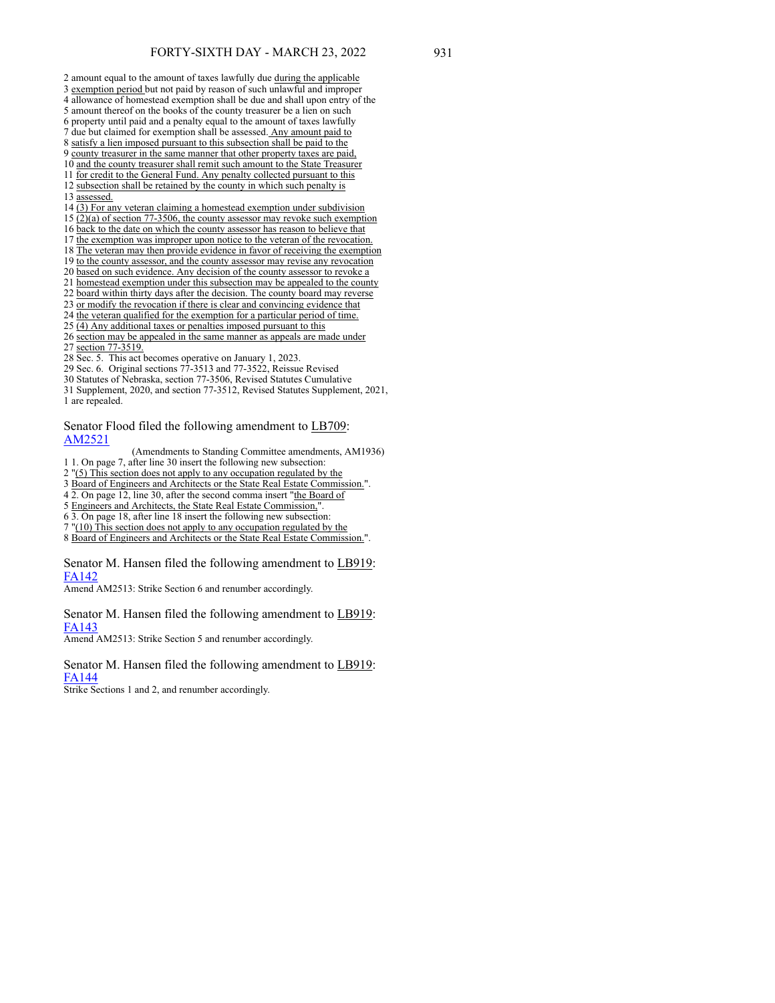2 amount equal to the amount of taxes lawfully due during the applicable 3 exemption period but not paid by reason of such unlawful and improper 4 allowance of homestead exemption shall be due and shall upon entry of the 5 amount thereof on the books of the county treasurer be a lien on such 6 property until paid and a penalty equal to the amount of taxes lawfully 7 due but claimed for exemption shall be assessed. Any amount paid to 8 satisfy a lien imposed pursuant to this subsection shall be paid to the 9 county treasurer in the same manner that other property taxes are paid, 10 and the county treasurer shall remit such amount to the State Treasurer 11 for credit to the General Fund. Any penalty collected pursuant to this 12 subsection shall be retained by the county in which such penalty is 13 assessed. 14 (3) For any veteran claiming a homestead exemption under subdivision 15 (2)(a) of section 77-3506, the county assessor may revoke such exemption 16 back to the date on which the county assessor has reason to believe that 17 the exemption was improper upon notice to the veteran of the revocation. 18 The veteran may then provide evidence in favor of receiving the exemption 19 to the county assessor, and the county assessor may revise any revocation 20 based on such evidence. Any decision of the county assessor to revoke a 21 homestead exemption under this subsection may be appealed to the county 22 board within thirty days after the decision. The county board may reverse

23 or modify the revocation if there is clear and convincing evidence that

24 the veteran qualified for the exemption for a particular period of time.

- 25 (4) Any additional taxes or penalties imposed pursuant to this
- 26 section may be appealed in the same manner as appeals are made under 27 section 77-3519.
- 28 Sec. 5. This act becomes operative on January 1, 2023.
- 29 Sec. 6. Original sections 77-3513 and 77-3522, Reissue Revised
- 30 Statutes of Nebraska, section 77-3506, Revised Statutes Cumulative

31 Supplement, 2020, and section 77-3512, Revised Statutes Supplement, 2021, 1 are repealed.

Senator Flood filed the following amendment to LB709: [AM2521](https://www.nebraskalegislature.gov/FloorDocs/107/PDF/AM/AM2521.pdf)

(Amendments to Standing Committee amendments, AM1936)

1 1. On page 7, after line 30 insert the following new subsection:

2 "(5) This section does not apply to any occupation regulated by the

3 Board of Engineers and Architects or the State Real Estate Commission.".

4 2. On page 12, line 30, after the second comma insert "the Board of

- 5 Engineers and Architects, the State Real Estate Commission,".
- 6 3. On page 18, after line 18 insert the following new subsection:

7 "(10) This section does not apply to any occupation regulated by the 8 Board of Engineers and Architects or the State Real Estate Commission.".

Senator M. Hansen filed the following amendment to LB919: [FA142](https://www.nebraskalegislature.gov/FloorDocs/107/PDF/AM/FA142.pdf)

Amend AM2513: Strike Section 6 and renumber accordingly.

Senator M. Hansen filed the following amendment to LB919: [FA143](https://www.nebraskalegislature.gov/FloorDocs/107/PDF/AM/FA143.pdf)

Amend AM2513: Strike Section 5 and renumber accordingly.

Senator M. Hansen filed the following amendment to LB919: [FA144](https://www.nebraskalegislature.gov/FloorDocs/107/PDF/AM/FA144.pdf)

Strike Sections 1 and 2, and renumber accordingly.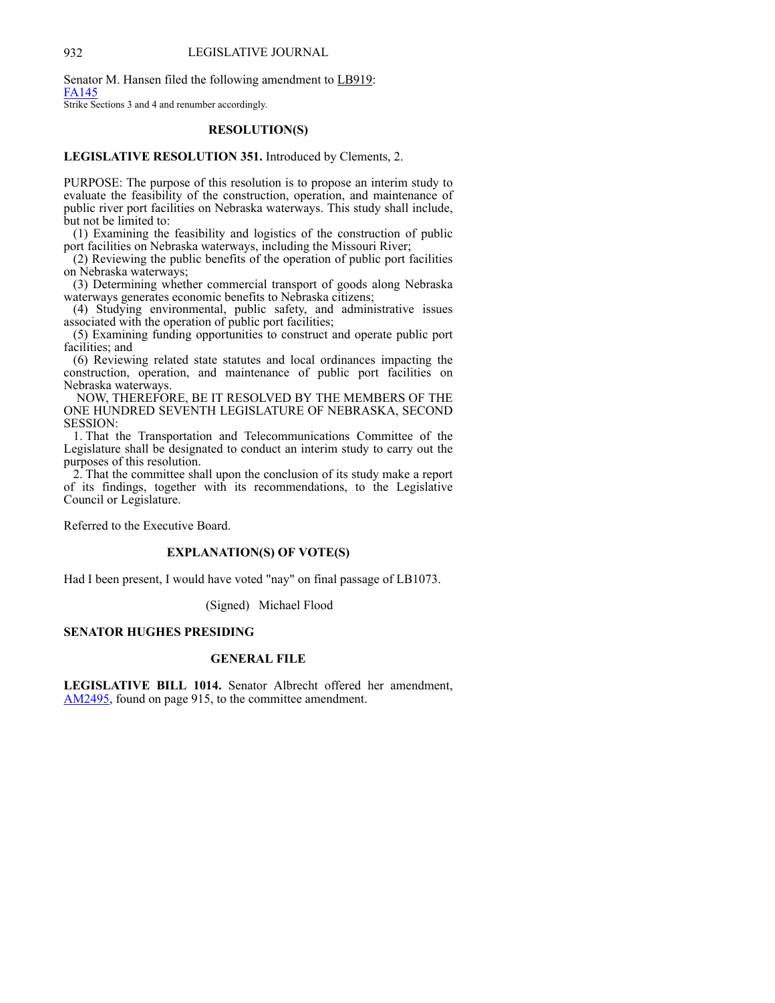Senator M. Hansen filed the following amendment to LB919: [FA145](https://www.nebraskalegislature.gov/FloorDocs/107/PDF/AM/FA145.pdf)

Strike Sections 3 and 4 and renumber accordingly.

#### **RESOLUTION(S)**

## **LEGISLATIVE RESOLUTION 351.** Introduced by Clements, 2.

PURPOSE: The purpose of this resolution is to propose an interim study to evaluate the feasibility of the construction, operation, and maintenance of public river port facilities on Nebraska waterways. This study shall include, but not be limited to:

 (1) Examining the feasibility and logistics of the construction of public port facilities on Nebraska waterways, including the Missouri River;

 (2) Reviewing the public benefits of the operation of public port facilities on Nebraska waterways;

 (3) Determining whether commercial transport of goods along Nebraska waterways generates economic benefits to Nebraska citizens;

 (4) Studying environmental, public safety, and administrative issues associated with the operation of public port facilities;

 (5) Examining funding opportunities to construct and operate public port facilities; and

 (6) Reviewing related state statutes and local ordinances impacting the construction, operation, and maintenance of public port facilities on Nebraska waterways.

 NOW, THEREFORE, BE IT RESOLVED BY THE MEMBERS OF THE ONE HUNDRED SEVENTH LEGISLATURE OF NEBRASKA, SECOND SESSION:

 1. That the Transportation and Telecommunications Committee of the Legislature shall be designated to conduct an interim study to carry out the purposes of this resolution.

 2. That the committee shall upon the conclusion of its study make a report of its findings, together with its recommendations, to the Legislative Council or Legislature.

Referred to the Executive Board.

# **EXPLANATION(S) OF VOTE(S)**

Had I been present, I would have voted "nay" on final passage of LB1073.

(Signed) Michael Flood

### **SENATOR HUGHES PRESIDING**

## **GENERAL FILE**

**LEGISLATIVE BILL 1014.** Senator Albrecht offered her amendment, [AM2495](https://www.nebraskalegislature.gov/FloorDocs/107/PDF/AM/AM2495.pdf), found on page 915, to the committee amendment.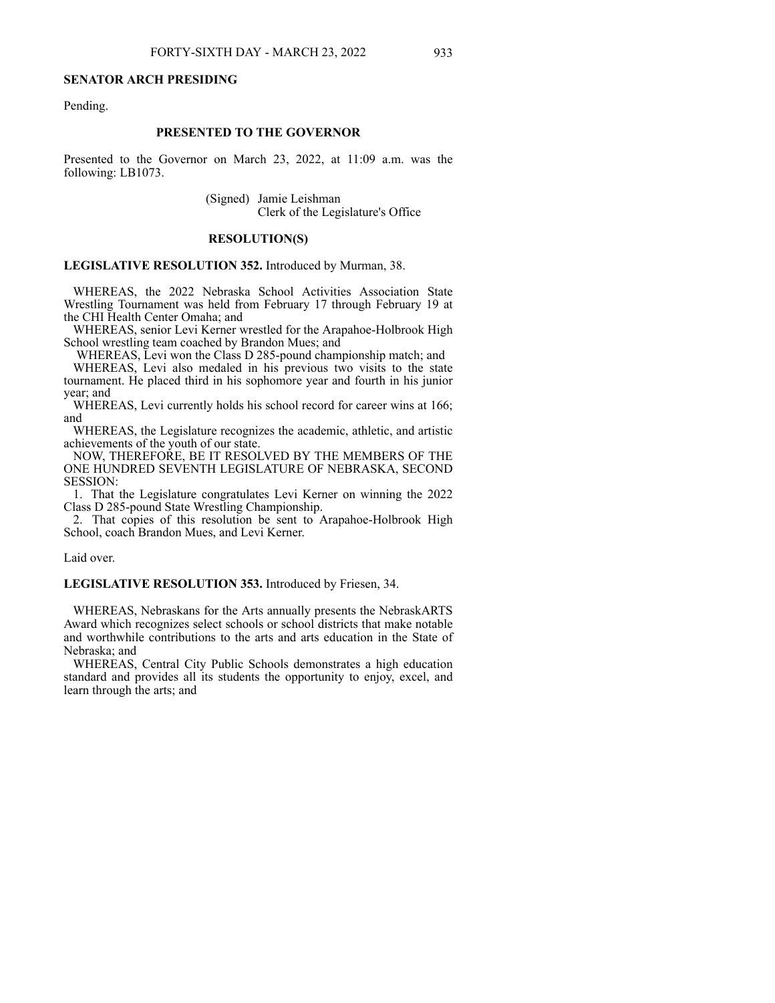#### **SENATOR ARCH PRESIDING**

Pending.

# **PRESENTED TO THE GOVERNOR**

Presented to the Governor on March 23, 2022, at 11:09 a.m. was the following: LB1073.

> (Signed) Jamie Leishman Clerk of the Legislature's Office

#### **RESOLUTION(S)**

**LEGISLATIVE RESOLUTION 352.** Introduced by Murman, 38.

 WHEREAS, the 2022 Nebraska School Activities Association State Wrestling Tournament was held from February 17 through February 19 at the CHI Health Center Omaha; and

 WHEREAS, senior Levi Kerner wrestled for the Arapahoe-Holbrook High School wrestling team coached by Brandon Mues; and

WHEREAS, Levi won the Class D 285-pound championship match; and

 WHEREAS, Levi also medaled in his previous two visits to the state tournament. He placed third in his sophomore year and fourth in his junior year; and

 WHEREAS, Levi currently holds his school record for career wins at 166; and

 WHEREAS, the Legislature recognizes the academic, athletic, and artistic achievements of the youth of our state.

 NOW, THEREFORE, BE IT RESOLVED BY THE MEMBERS OF THE ONE HUNDRED SEVENTH LEGISLATURE OF NEBRASKA, SECOND SESSION:

 1. That the Legislature congratulates Levi Kerner on winning the 2022 Class D 285-pound State Wrestling Championship.

 2. That copies of this resolution be sent to Arapahoe-Holbrook High School, coach Brandon Mues, and Levi Kerner.

## Laid over.

**LEGISLATIVE RESOLUTION 353.** Introduced by Friesen, 34.

 WHEREAS, Nebraskans for the Arts annually presents the NebraskARTS Award which recognizes select schools or school districts that make notable and worthwhile contributions to the arts and arts education in the State of Nebraska; and

 WHEREAS, Central City Public Schools demonstrates a high education standard and provides all its students the opportunity to enjoy, excel, and learn through the arts; and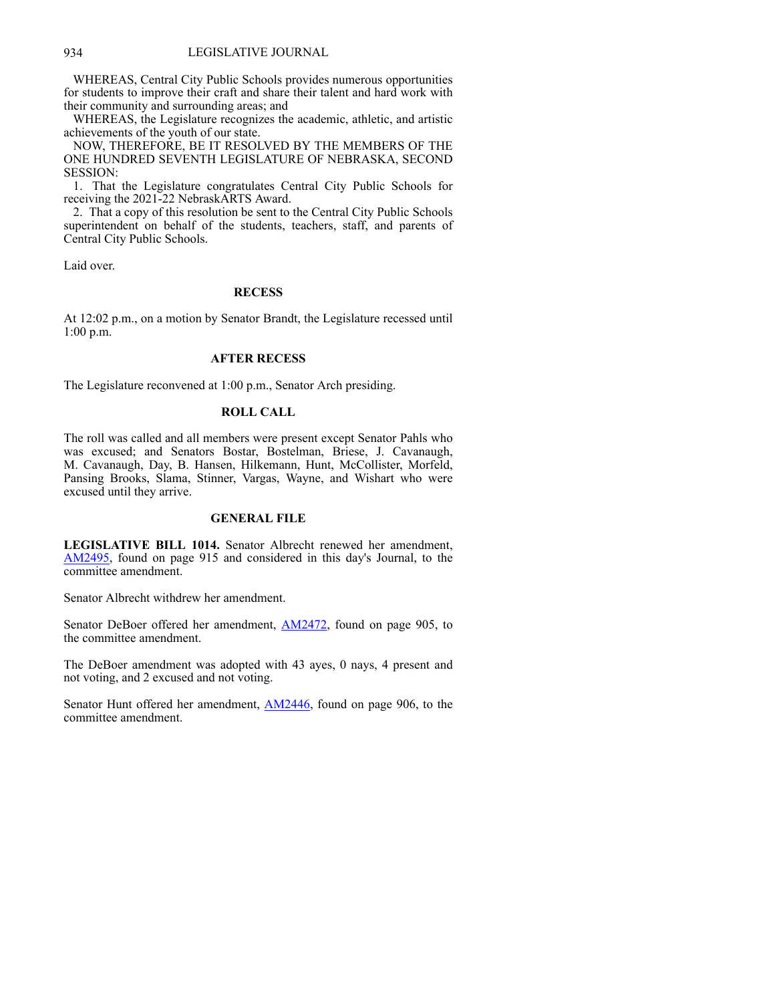WHEREAS, Central City Public Schools provides numerous opportunities for students to improve their craft and share their talent and hard work with their community and surrounding areas; and

 WHEREAS, the Legislature recognizes the academic, athletic, and artistic achievements of the youth of our state.

 NOW, THEREFORE, BE IT RESOLVED BY THE MEMBERS OF THE ONE HUNDRED SEVENTH LEGISLATURE OF NEBRASKA, SECOND SESSION:

 1. That the Legislature congratulates Central City Public Schools for receiving the 2021-22 NebraskARTS Award.

 2. That a copy of this resolution be sent to the Central City Public Schools superintendent on behalf of the students, teachers, staff, and parents of Central City Public Schools.

Laid over.

# **RECESS**

At 12:02 p.m., on a motion by Senator Brandt, the Legislature recessed until 1:00 p.m.

# **AFTER RECESS**

The Legislature reconvened at 1:00 p.m., Senator Arch presiding.

# **ROLL CALL**

The roll was called and all members were present except Senator Pahls who was excused; and Senators Bostar, Bostelman, Briese, J. Cavanaugh, M. Cavanaugh, Day, B. Hansen, Hilkemann, Hunt, McCollister, Morfeld, Pansing Brooks, Slama, Stinner, Vargas, Wayne, and Wishart who were excused until they arrive.

## **GENERAL FILE**

**LEGISLATIVE BILL 1014.** Senator Albrecht renewed her amendment, [AM2495](https://www.nebraskalegislature.gov/FloorDocs/107/PDF/AM/AM2495.pdf), found on page 915 and considered in this day's Journal, to the committee amendment.

Senator Albrecht withdrew her amendment.

Senator DeBoer offered her amendment, [AM2472](https://www.nebraskalegislature.gov/FloorDocs/107/PDF/AM/AM2472.pdf), found on page 905, to the committee amendment.

The DeBoer amendment was adopted with 43 ayes, 0 nays, 4 present and not voting, and 2 excused and not voting.

Senator Hunt offered her amendment, **[AM2446](https://www.nebraskalegislature.gov/FloorDocs/107/PDF/AM/AM2446.pdf)**, found on page 906, to the committee amendment.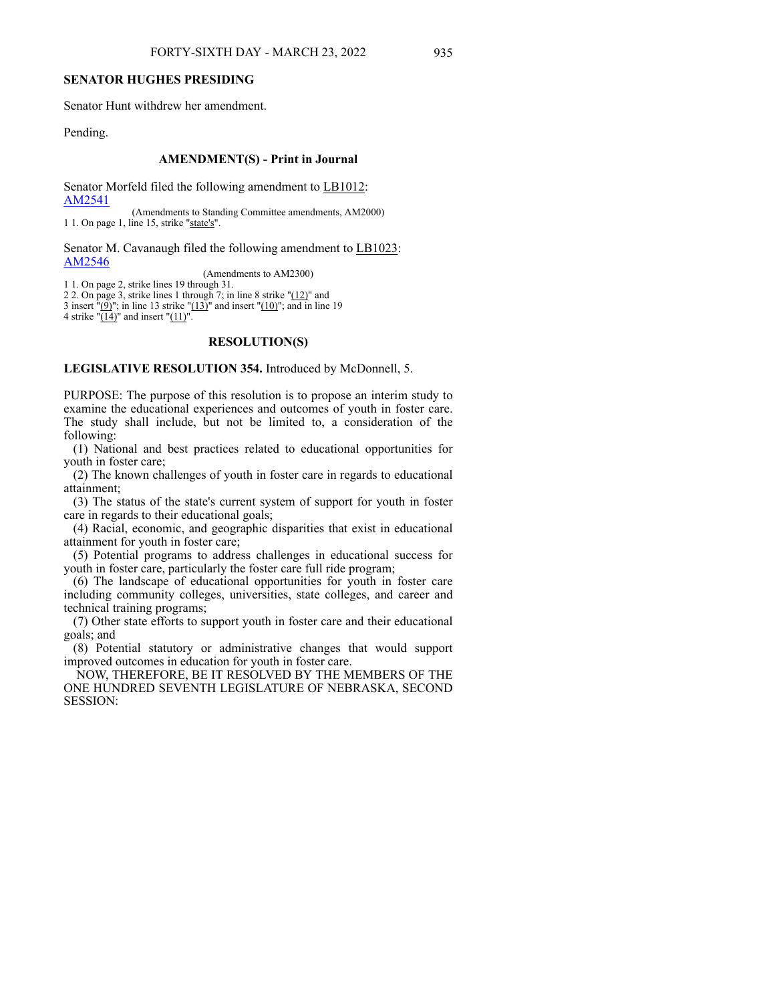# **SENATOR HUGHES PRESIDING**

Senator Hunt withdrew her amendment.

Pending.

#### **AMENDMENT(S) - Print in Journal**

Senator Morfeld filed the following amendment to LB1012: [AM2541](https://www.nebraskalegislature.gov/FloorDocs/107/PDF/AM/AM2541.pdf)

(Amendments to Standing Committee amendments, AM2000) 1 1. On page 1, line 15, strike "state's".

Senator M. Cavanaugh filed the following amendment to LB1023: [AM2546](https://www.nebraskalegislature.gov/FloorDocs/107/PDF/AM/AM2546.pdf)

(Amendments to AM2300)

1 1. On page 2, strike lines 19 through 31. 2 2. On page 3, strike lines 1 through 7; in line 8 strike "(12)" and 3 insert  $"(\underline{9})"$ ; in line 13 strike " $(13)$ " and insert " $(10)$ "; and in line 19 4 strike " $(14)$ " and insert " $(11)$ ".

#### **RESOLUTION(S)**

**LEGISLATIVE RESOLUTION 354.** Introduced by McDonnell, 5.

PURPOSE: The purpose of this resolution is to propose an interim study to examine the educational experiences and outcomes of youth in foster care. The study shall include, but not be limited to, a consideration of the following:

 (1) National and best practices related to educational opportunities for youth in foster care;

 (2) The known challenges of youth in foster care in regards to educational attainment;

 (3) The status of the state's current system of support for youth in foster care in regards to their educational goals;

 (4) Racial, economic, and geographic disparities that exist in educational attainment for youth in foster care;

 (5) Potential programs to address challenges in educational success for youth in foster care, particularly the foster care full ride program;

 (6) The landscape of educational opportunities for youth in foster care including community colleges, universities, state colleges, and career and technical training programs;

 (7) Other state efforts to support youth in foster care and their educational goals; and

 (8) Potential statutory or administrative changes that would support improved outcomes in education for youth in foster care.

 NOW, THEREFORE, BE IT RESOLVED BY THE MEMBERS OF THE ONE HUNDRED SEVENTH LEGISLATURE OF NEBRASKA, SECOND SESSION: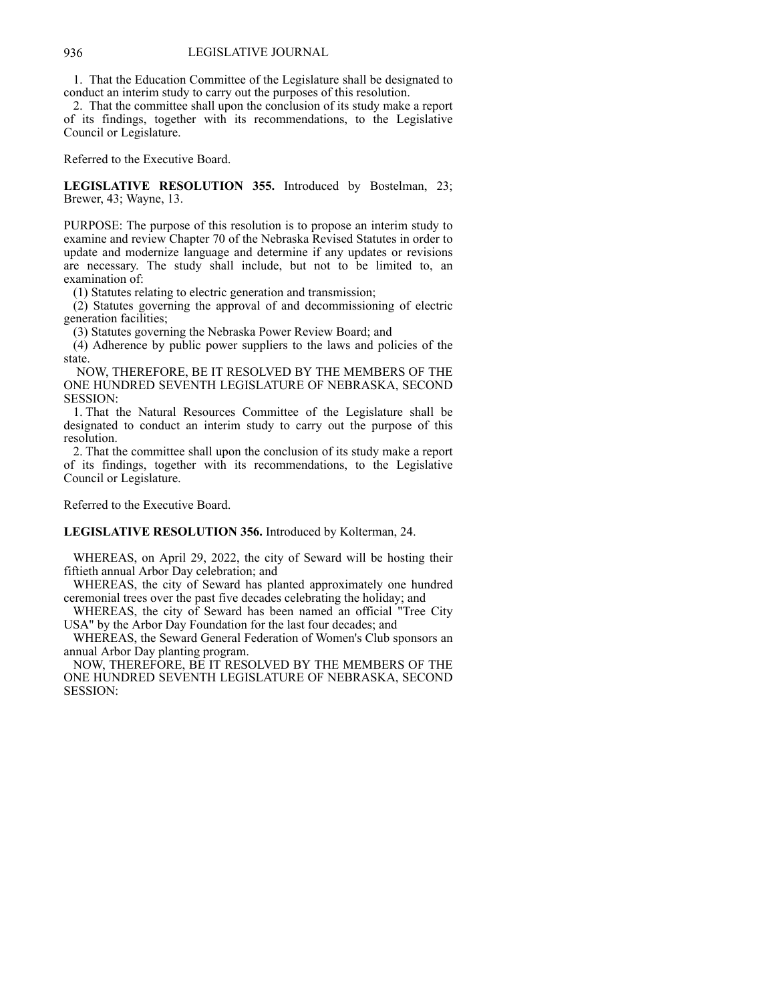#### 936 LEGISLATIVE JOURNAL

 1. That the Education Committee of the Legislature shall be designated to conduct an interim study to carry out the purposes of this resolution.

 2. That the committee shall upon the conclusion of its study make a report of its findings, together with its recommendations, to the Legislative Council or Legislature.

Referred to the Executive Board.

**LEGISLATIVE RESOLUTION 355.** Introduced by Bostelman, 23; Brewer, 43; Wayne, 13.

PURPOSE: The purpose of this resolution is to propose an interim study to examine and review Chapter 70 of the Nebraska Revised Statutes in order to update and modernize language and determine if any updates or revisions are necessary. The study shall include, but not to be limited to, an examination of:

(1) Statutes relating to electric generation and transmission;

 (2) Statutes governing the approval of and decommissioning of electric generation facilities;

(3) Statutes governing the Nebraska Power Review Board; and

 (4) Adherence by public power suppliers to the laws and policies of the state.

 NOW, THEREFORE, BE IT RESOLVED BY THE MEMBERS OF THE ONE HUNDRED SEVENTH LEGISLATURE OF NEBRASKA, SECOND SESSION:

 1. That the Natural Resources Committee of the Legislature shall be designated to conduct an interim study to carry out the purpose of this resolution.

 2. That the committee shall upon the conclusion of its study make a report of its findings, together with its recommendations, to the Legislative Council or Legislature.

Referred to the Executive Board.

**LEGISLATIVE RESOLUTION 356.** Introduced by Kolterman, 24.

 WHEREAS, on April 29, 2022, the city of Seward will be hosting their fiftieth annual Arbor Day celebration; and

 WHEREAS, the city of Seward has planted approximately one hundred ceremonial trees over the past five decades celebrating the holiday; and

 WHEREAS, the city of Seward has been named an official "Tree City USA" by the Arbor Day Foundation for the last four decades; and

 WHEREAS, the Seward General Federation of Women's Club sponsors an annual Arbor Day planting program.

 NOW, THEREFORE, BE IT RESOLVED BY THE MEMBERS OF THE ONE HUNDRED SEVENTH LEGISLATURE OF NEBRASKA, SECOND SESSION: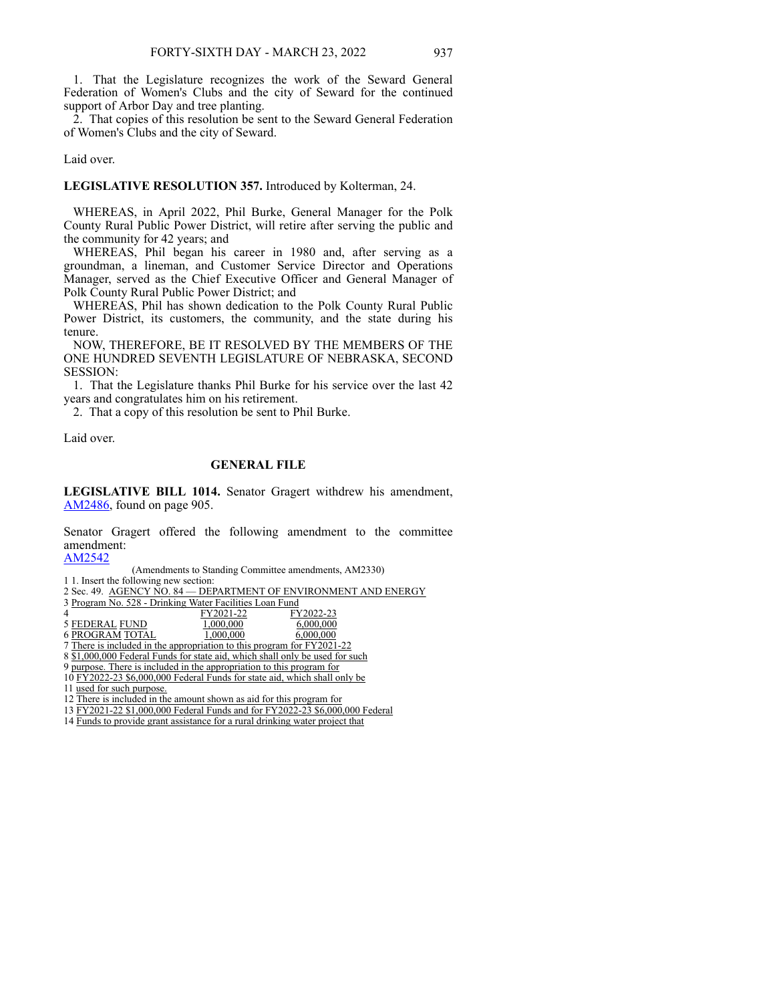1. That the Legislature recognizes the work of the Seward General Federation of Women's Clubs and the city of Seward for the continued support of Arbor Day and tree planting.

 2. That copies of this resolution be sent to the Seward General Federation of Women's Clubs and the city of Seward.

#### Laid over.

## **LEGISLATIVE RESOLUTION 357.** Introduced by Kolterman, 24.

 WHEREAS, in April 2022, Phil Burke, General Manager for the Polk County Rural Public Power District, will retire after serving the public and the community for 42 years; and

 WHEREAS, Phil began his career in 1980 and, after serving as a groundman, a lineman, and Customer Service Director and Operations Manager, served as the Chief Executive Officer and General Manager of Polk County Rural Public Power District; and

 WHEREAS, Phil has shown dedication to the Polk County Rural Public Power District, its customers, the community, and the state during his tenure.

 NOW, THEREFORE, BE IT RESOLVED BY THE MEMBERS OF THE ONE HUNDRED SEVENTH LEGISLATURE OF NEBRASKA, SECOND SESSION:

 1. That the Legislature thanks Phil Burke for his service over the last 42 years and congratulates him on his retirement.

2. That a copy of this resolution be sent to Phil Burke.

Laid over.

# **GENERAL FILE**

**LEGISLATIVE BILL 1014.** Senator Gragert withdrew his amendment, [AM2486](https://www.nebraskalegislature.gov/FloorDocs/107/PDF/AM/AM2486.pdf), found on page 905.

Senator Gragert offered the following amendment to the committee amendment:

#### [AM2542](https://www.nebraskalegislature.gov/FloorDocs/107/PDF/AM/AM2542.pdf)

1 1. Insert the following new section:

2 Sec. 49. AGENCY NO. 84 - DEPARTMENT OF ENVIRONMENT AND ENERGY

| 3 Program No. 528 - Drinking Water Facilities Loan Fund |           |           |
|---------------------------------------------------------|-----------|-----------|
|                                                         | FY2021-22 | FY2022-23 |
| 5 FEDERAL FUND                                          | 1,000,000 | 6,000,000 |

6 PROGRAM TOTAL 1,000,000 6,000,000

7 There is included in the appropriation to this program for FY2021-22

8 \$1,000,000 Federal Funds for state aid, which shall only be used for such

9 purpose. There is included in the appropriation to this program for

10 FY2022-23 \$6,000,000 Federal Funds for state aid, which shall only be

11 used for such purpose.

13 FY2021-22 \$1,000,000 Federal Funds and for FY2022-23 \$6,000,000 Federal

14 Funds to provide grant assistance for a rural drinking water project that

<sup>(</sup>Amendments to Standing Committee amendments, AM2330)

<sup>12</sup> There is included in the amount shown as aid for this program for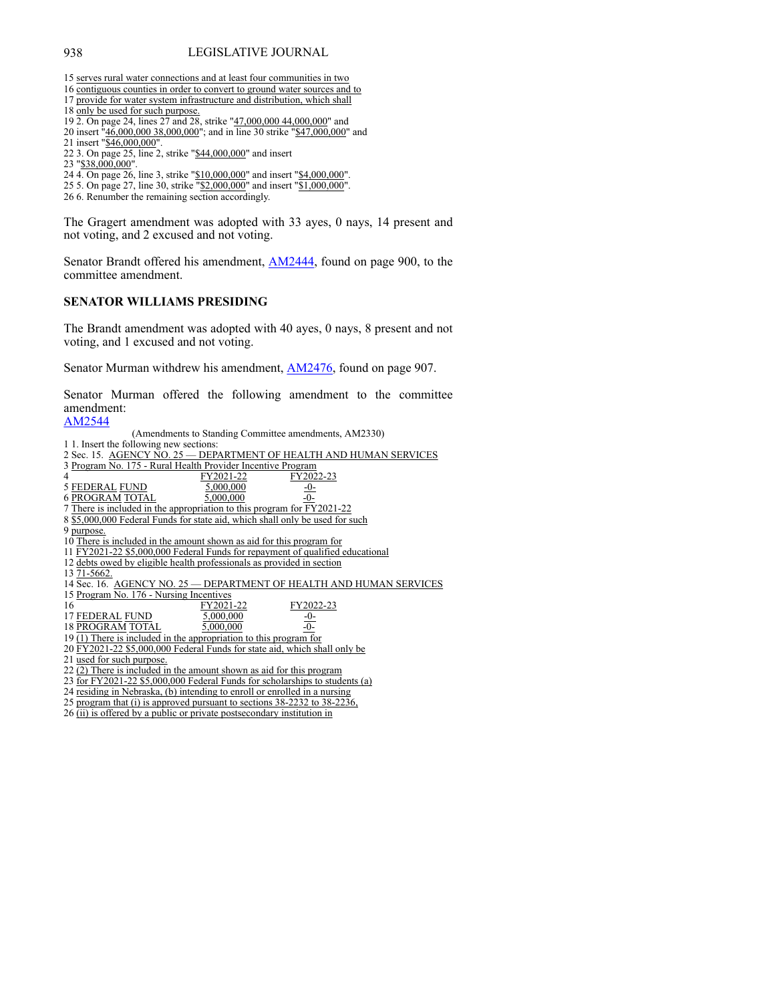15 serves rural water connections and at least four communities in two

- 16 contiguous counties in order to convert to ground water sources and to 17 provide for water system infrastructure and distribution, which shall
- 18 only be used for such purpose.
- 19 2. On page 24, lines 27 and 28, strike "47,000,000 44,000,000" and
- 20 insert "46,000,000 38,000,000"; and in line 30 strike "\$47,000,000" and
- 21 insert "\$46,000,000"
- 22 3. On page 25, line 2, strike "\$44,000,000" and insert
- 23 "\$38,000,000".
- 24 4. On page 26, line 3, strike "\$10,000,000" and insert "\$4,000,000".
- 25 5. On page 27, line 30, strike "\$2,000,000" and insert "\$1,000,000".
- 26 6. Renumber the remaining section accordingly.

The Gragert amendment was adopted with 33 ayes, 0 nays, 14 present and not voting, and 2 excused and not voting.

Senator Brandt offered his amendment, **[AM2444](https://www.nebraskalegislature.gov/FloorDocs/107/PDF/AM/AM2444.pdf)**, found on page 900, to the committee amendment.

# **SENATOR WILLIAMS PRESIDING**

The Brandt amendment was adopted with 40 ayes, 0 nays, 8 present and not voting, and 1 excused and not voting.

Senator Murman withdrew his amendment, [AM2476,](https://www.nebraskalegislature.gov/FloorDocs/107/PDF/AM/AM2476.pdf) found on page 907.

Senator Murman offered the following amendment to the committee amendment:

[AM2544](https://www.nebraskalegislature.gov/FloorDocs/107/PDF/AM/AM2544.pdf)

| (Amendments to Standing Committee amendments, AM2330)                         |
|-------------------------------------------------------------------------------|
| 1. Insert the following new sections:                                         |
| 2 Sec. 15. AGENCY NO. 25 - DEPARTMENT OF HEALTH AND HUMAN SERVICES            |
| 3 Program No. 175 - Rural Health Provider Incentive Program                   |
| FY2021-22<br>FY2022-23<br>4                                                   |
| 5 FEDERAL FUND<br>5,000,000<br>$-0$                                           |
| <b>6 PROGRAM TOTAL</b><br>5,000,000                                           |
| 7 There is included in the appropriation to this program for FY2021-22        |
| 8 \$5,000,000 Federal Funds for state aid, which shall only be used for such  |
| 9 purpose.                                                                    |
| 10 There is included in the amount shown as aid for this program for          |
| 11 FY2021-22 \$5,000,000 Federal Funds for repayment of qualified educational |
| 12 debts owed by eligible health professionals as provided in section         |
| 13 71 - 5662.                                                                 |
| 14 Sec. 16. AGENCY NO. 25 - DEPARTMENT OF HEALTH AND HUMAN SERVICES           |
| 15 Program No. 176 - Nursing Incentives                                       |
| 16<br>FY2021-22<br>FY2022-23                                                  |
| 17 FEDERAL FUND<br>5,000,000<br>$\frac{-0}{-0}$                               |
| <b>18 PROGRAM TOTAL</b><br>5,000,000                                          |
| 19 $(1)$ There is included in the appropriation to this program for           |
| 20 FY2021-22 \$5,000,000 Federal Funds for state aid, which shall only be     |
| 21 used for such purpose.                                                     |
| 22 (2) There is included in the amount shown as aid for this program          |
| 23 for FY2021-22 \$5,000,000 Federal Funds for scholarships to students (a)   |
| 24 residing in Nebraska, (b) intending to enroll or enrolled in a nursing     |
| 25 program that (i) is approved pursuant to sections 38-2232 to 38-2236,      |
| 26 (ii) is offered by a public or private postsecondary institution in        |
|                                                                               |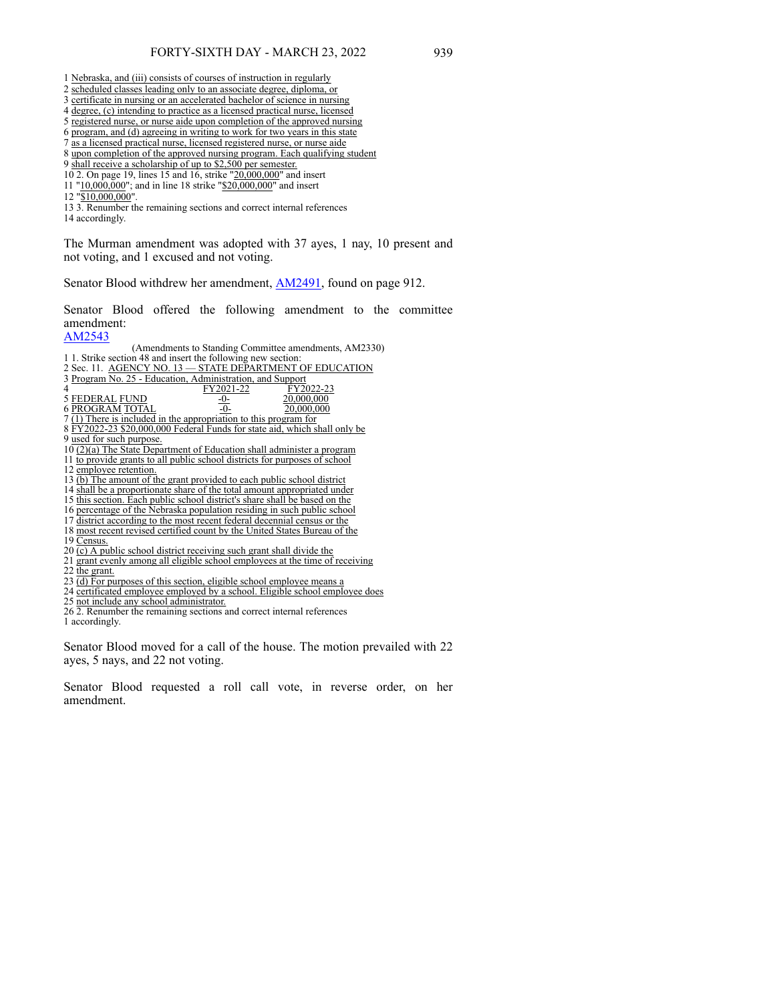|   |  |  |  | 1 Nebraska, and (iii) consists of courses of instruction in regularly |  |
|---|--|--|--|-----------------------------------------------------------------------|--|
| . |  |  |  |                                                                       |  |

- 2 scheduled classes leading only to an associate degree, diploma, or
- 3 certificate in nursing or an accelerated bachelor of science in nursing
- 4 degree, (c) intending to practice as a licensed practical nurse, licensed
- 5 registered nurse, or nurse aide upon completion of the approved nursing
- 6 program, and (d) agreeing in writing to work for two years in this state 7 as a licensed practical nurse, licensed registered nurse, or nurse aide
- 8 upon completion of the approved nursing program. Each qualifying student
- 9 shall receive a scholarship of up to \$2,500 per semester.
- 10 2. On page 19, lines 15 and 16, strike "20,000,000" and insert
- 11 "10,000,000"; and in line 18 strike "\$20,000,000" and insert
- 12 "\$10,000,000".
- 13 3. Renumber the remaining sections and correct internal references

The Murman amendment was adopted with 37 ayes, 1 nay, 10 present and not voting, and 1 excused and not voting.

Senator Blood withdrew her amendment, [AM2491,](https://www.nebraskalegislature.gov/FloorDocs/107/PDF/AM/AM2491.pdf) found on page 912.

Senator Blood offered the following amendment to the committee amendment:

### [AM2543](https://www.nebraskalegislature.gov/FloorDocs/107/PDF/AM/AM2543.pdf)

(Amendments to Standing Committee amendments, AM2330)

- 1 1. Strike section 48 and insert the following new section: 2 Sec. 11. AGENCY NO. 13 — STATE DEPARTMENT OF EDUCATION
- 3 Program No. 25 Education, Administration, and Support

| Δ                                                         |  |
|-----------------------------------------------------------|--|
| 20 000 000<br>5 FEDER AL FUND<br>---------<br>$\sim$<br>. |  |

- 6 PROGRAM TOTAL -0- 20,000,000
- 7 (1) There is included in the appropriation to this program for
- 8 FY2022-23 \$20,000,000 Federal Funds for state aid, which shall only be 9 used for such purpose.
- 10 (2)(a) The State Department of Education shall administer a program
- 11 to provide grants to all public school districts for purposes of school
- 12 employee retention.
- 13 (b) The amount of the grant provided to each public school district
- 14 shall be a proportionate share of the total amount appropriated under
- 15 this section. Each public school district's share shall be based on the
- 16 percentage of the Nebraska population residing in such public school
- 17 district according to the most recent federal decennial census or the
- 18 most recent revised certified count by the United States Bureau of the
- 19 Census.
- $20$  (c) A public school district receiving such grant shall divide the
- 21 grant evenly among all eligible school employees at the time of receiving
- 22 the grant.
- 23  $(d)$  For purposes of this section, eligible school employee means a
- 24 certificated employee employed by a school. Eligible school employee does

25 not include any school administrator.

26 2. Renumber the remaining sections and correct internal references

1 accordingly.

Senator Blood moved for a call of the house. The motion prevailed with 22 ayes, 5 nays, and 22 not voting.

Senator Blood requested a roll call vote, in reverse order, on her amendment.

<sup>14</sup> accordingly.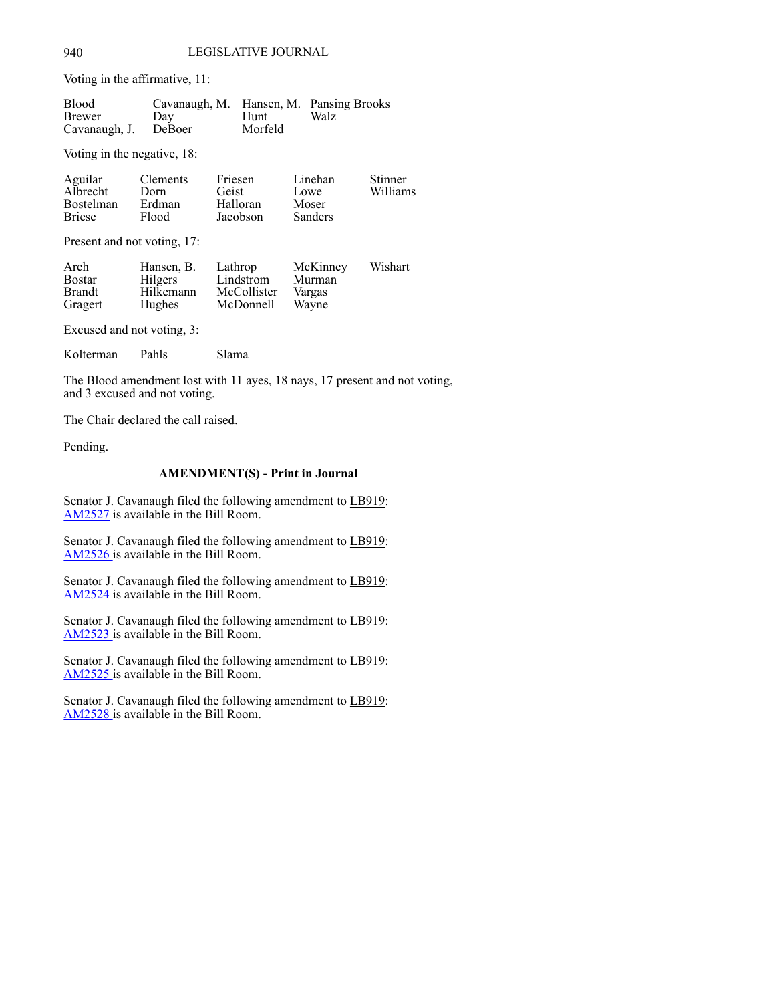Voting in the affirmative, 11:

| <b>Blood</b>         | Cavanaugh, M. Hansen, M. Pansing Brooks |         |      |
|----------------------|-----------------------------------------|---------|------|
| Brewer               | Dav                                     | Hunt    | Walz |
| Cavanaugh, J. DeBoer |                                         | Morfeld |      |

Voting in the negative, 18:

| Aguilar          | <b>Clements</b> | Friesen  | Linehan        | <b>Stinner</b> |
|------------------|-----------------|----------|----------------|----------------|
| Albrecht         | Dorn            | Geist    | Lowe           | Williams       |
| <b>Bostelman</b> | Erdman          | Halloran | Moser          |                |
| <b>Briese</b>    | Flood           | Jacobson | <b>Sanders</b> |                |

Present and not voting, 17:

| Arch          | Hansen, B. | Lathrop     | McKinney | Wishart |
|---------------|------------|-------------|----------|---------|
| <b>Bostar</b> | Hilgers    | Lindstrom   | Murman   |         |
| <b>Brandt</b> | Hilkemann  | McCollister | Vargas   |         |
| Gragert       | Hughes     | McDonnell   | Wayne    |         |

Excused and not voting, 3:

Kolterman Pahls Slama

The Blood amendment lost with 11 ayes, 18 nays, 17 present and not voting, and 3 excused and not voting.

The Chair declared the call raised.

Pending.

# **AMENDMENT(S) - Print in Journal**

Senator J. Cavanaugh filed the following amendment to LB919: [AM2527](https://www.nebraskalegislature.gov/FloorDocs/107/PDF/AM/AM2527.pdf) is available in the Bill Room.

Senator J. Cavanaugh filed the following amendment to LB919: [AM2526](https://www.nebraskalegislature.gov/FloorDocs/107/PDF/AM/AM2526 .pdf) is available in the Bill Room.

Senator J. Cavanaugh filed the following amendment to LB919: [AM2524](https://www.nebraskalegislature.gov/FloorDocs/107/PDF/AM/AM2524 .pdf) is available in the Bill Room.

Senator J. Cavanaugh filed the following amendment to LB919: [AM2523](https://www.nebraskalegislature.gov/FloorDocs/107/PDF/AM/AM2523 .pdf) is available in the Bill Room.

Senator J. Cavanaugh filed the following amendment to LB919: [AM2525](https://www.nebraskalegislature.gov/FloorDocs/107/PDF/AM/AM2525 .pdf) is available in the Bill Room.

Senator J. Cavanaugh filed the following amendment to LB919: [AM2528](https://www.nebraskalegislature.gov/FloorDocs/107/PDF/AM/AM2528 .pdf) is available in the Bill Room.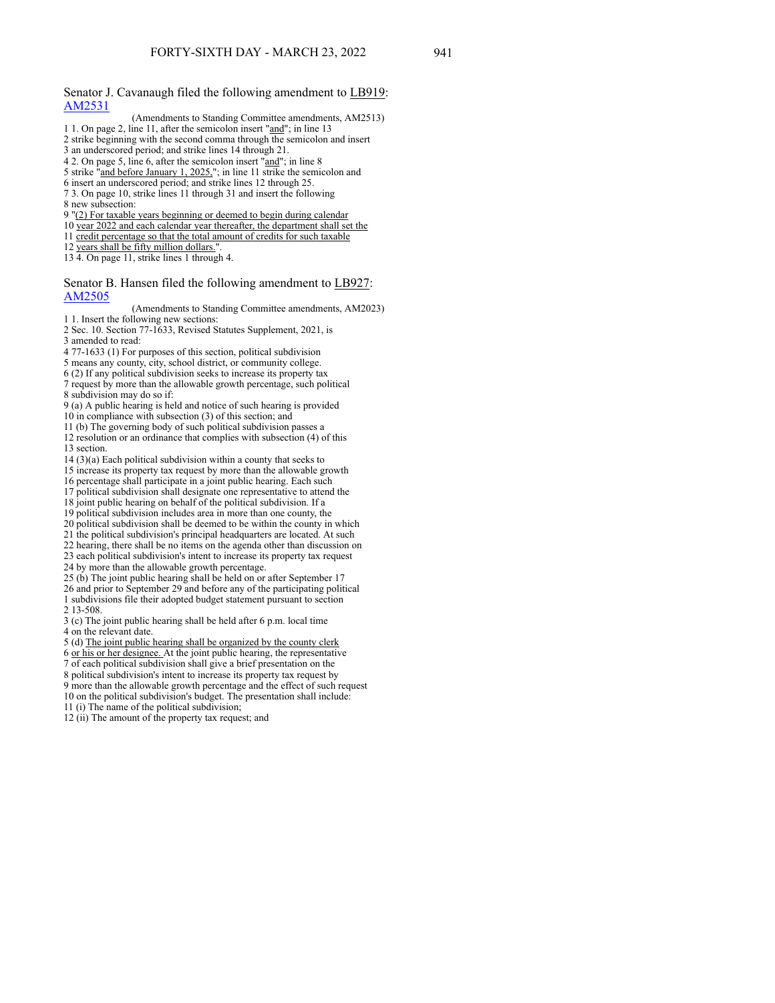Senator J. Cavanaugh filed the following amendment to LB919: [AM2531](https://www.nebraskalegislature.gov/FloorDocs/107/PDF/AM/AM2531.pdf)

- (Amendments to Standing Committee amendments, AM2513)
- 1 1. On page 2, line 11, after the semicolon insert "and"; in line 13
- 2 strike beginning with the second comma through the semicolon and insert 3 an underscored period; and strike lines 14 through 21.
- 
- 4 2. On page 5, line 6, after the semicolon insert "and"; in line 8
- 5 strike "and before January 1, 2025,"; in line 11 strike the semicolon and
- 6 insert an underscored period; and strike lines 12 through 25. 7 3. On page 10, strike lines 11 through 31 and insert the following
- 8 new subsection:
- 9 "(2) For taxable years beginning or deemed to begin during calendar
- 10 year 2022 and each calendar year thereafter, the department shall set the
- 11 credit percentage so that the total amount of credits for such taxable
- 12 years shall be fifty million dollars."
- 13 4. On page 11, strike lines 1 through 4.

#### Senator B. Hansen filed the following amendment to LB927: [AM2505](https://www.nebraskalegislature.gov/FloorDocs/107/PDF/AM/AM2505.pdf)

(Amendments to Standing Committee amendments, AM2023) 1 1. Insert the following new sections:

- 2 Sec. 10. Section 77-1633, Revised Statutes Supplement, 2021, is 3 amended to read:
- 4 77-1633 (1) For purposes of this section, political subdivision
- 5 means any county, city, school district, or community college.
- 6 (2) If any political subdivision seeks to increase its property tax
- 7 request by more than the allowable growth percentage, such political 8 subdivision may do so if:
- 9 (a) A public hearing is held and notice of such hearing is provided
- 10 in compliance with subsection (3) of this section; and
- 11 (b) The governing body of such political subdivision passes a
- 12 resolution or an ordinance that complies with subsection (4) of this 13 section.
- 14 (3)(a) Each political subdivision within a county that seeks to
- 15 increase its property tax request by more than the allowable growth
- 16 percentage shall participate in a joint public hearing. Each such
- 17 political subdivision shall designate one representative to attend the
- 18 joint public hearing on behalf of the political subdivision. If a
- 19 political subdivision includes area in more than one county, the
- 20 political subdivision shall be deemed to be within the county in which
- 21 the political subdivision's principal headquarters are located. At such
- 22 hearing, there shall be no items on the agenda other than discussion on
- 23 each political subdivision's intent to increase its property tax request
- 24 by more than the allowable growth percentage.
- 25 (b) The joint public hearing shall be held on or after September 17
- 26 and prior to September 29 and before any of the participating political 1 subdivisions file their adopted budget statement pursuant to section 2 13-508.
- 3 (c) The joint public hearing shall be held after 6 p.m. local time 4 on the relevant date.
- 
- 5 (d) The joint public hearing shall be organized by the county clerk
- 6 or his or her designee. At the joint public hearing, the representative
- 7 of each political subdivision shall give a brief presentation on the 8 political subdivision's intent to increase its property tax request by 9 more than the allowable growth percentage and the effect of such request 10 on the political subdivision's budget. The presentation shall include:
- 11 (i) The name of the political subdivision;
- 12 (ii) The amount of the property tax request; and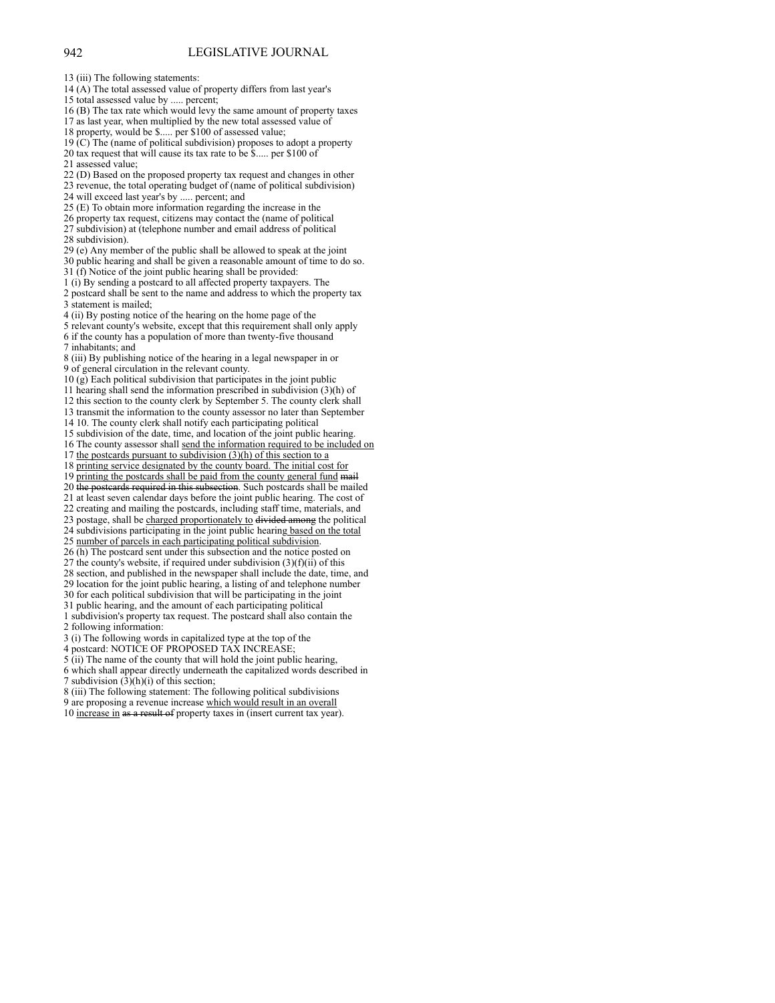- 14 (A) The total assessed value of property differs from last year's
- 15 total assessed value by ..... percent;

16 (B) The tax rate which would levy the same amount of property taxes 17 as last year, when multiplied by the new total assessed value of

18 property, would be \$..... per \$100 of assessed value;

19 (C) The (name of political subdivision) proposes to adopt a property 20 tax request that will cause its tax rate to be \$..... per \$100 of

21 assessed value;

22 (D) Based on the proposed property tax request and changes in other

23 revenue, the total operating budget of (name of political subdivision)

24 will exceed last year's by ..... percent; and

25 (E) To obtain more information regarding the increase in the

26 property tax request, citizens may contact the (name of political 27 subdivision) at (telephone number and email address of political

- 28 subdivision).
- 29 (e) Any member of the public shall be allowed to speak at the joint
- 30 public hearing and shall be given a reasonable amount of time to do so.

31 (f) Notice of the joint public hearing shall be provided:

1 (i) By sending a postcard to all affected property taxpayers. The

2 postcard shall be sent to the name and address to which the property tax 3 statement is mailed;

4 (ii) By posting notice of the hearing on the home page of the

5 relevant county's website, except that this requirement shall only apply 6 if the county has a population of more than twenty-five thousand 7 inhabitants; and

8 (iii) By publishing notice of the hearing in a legal newspaper in or 9 of general circulation in the relevant county.

 $10 \text{ (g)}$  Each political subdivision that participates in the joint public

11 hearing shall send the information prescribed in subdivision (3)(h) of

12 this section to the county clerk by September 5. The county clerk shall

13 transmit the information to the county assessor no later than September

14 10. The county clerk shall notify each participating political

15 subdivision of the date, time, and location of the joint public hearing.

16 The county assessor shall send the information required to be included on 17 the postcards pursuant to subdivision  $(3)(h)$  of this section to a

18 printing service designated by the county board. The initial cost for

19 printing the postcards shall be paid from the county general fund mail

20 the postcards required in this subsection. Such postcards shall be mailed

21 at least seven calendar days before the joint public hearing. The cost of

22 creating and mailing the postcards, including staff time, materials, and

23 postage, shall be charged proportionately to divided among the political

24 subdivisions participating in the joint public hearing based on the total 25 number of parcels in each participating political subdivision.

26 (h) The postcard sent under this subsection and the notice posted on 27 the county's website, if required under subdivision  $(3)(f)(ii)$  of this

28 section, and published in the newspaper shall include the date, time, and

29 location for the joint public hearing, a listing of and telephone number

30 for each political subdivision that will be participating in the joint

31 public hearing, and the amount of each participating political

1 subdivision's property tax request. The postcard shall also contain the 2 following information:

3 (i) The following words in capitalized type at the top of the

4 postcard: NOTICE OF PROPOSED TAX INCREASE;

 $5$  (ii) The name of the county that will hold the joint public hearing,

6 which shall appear directly underneath the capitalized words described in 7 subdivision  $(3)(h)(i)$  of this section;

8 (iii) The following statement: The following political subdivisions

9 are proposing a revenue increase which would result in an overall

10 increase in as a result of property taxes in (insert current tax year).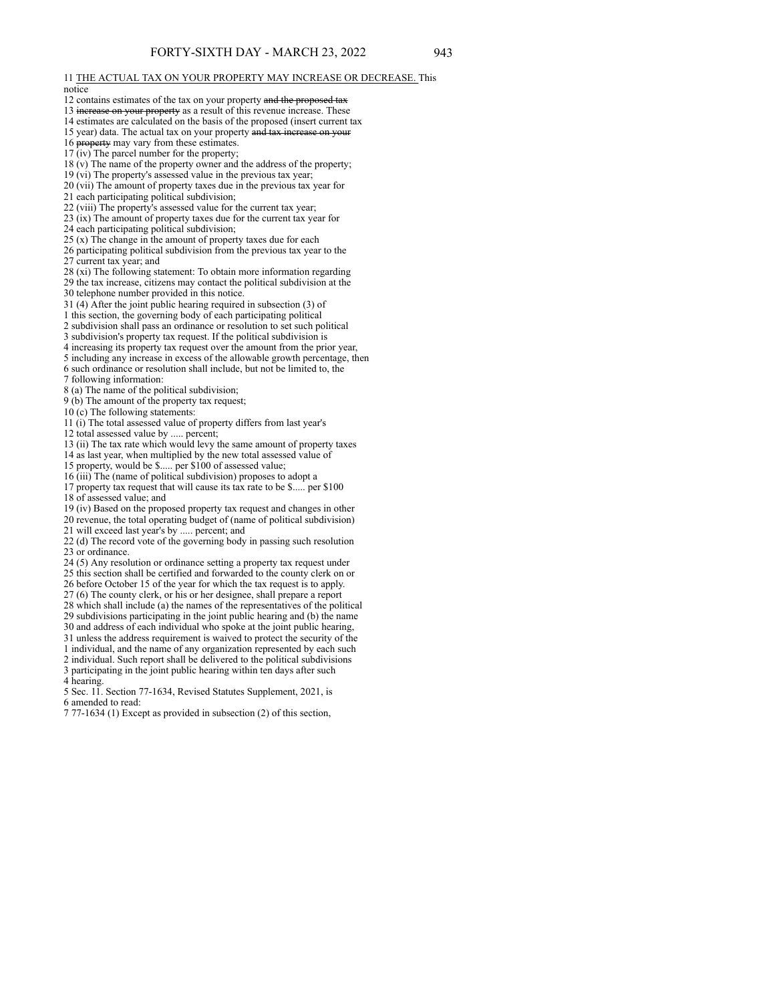#### 11 THE ACTUAL TAX ON YOUR PROPERTY MAY INCREASE OR DECREASE. This notice

- 12 contains estimates of the tax on your property and the proposed tax
- 13 increase on your property as a result of this revenue increase. These
- 14 estimates are calculated on the basis of the proposed (insert current tax
- 15 year) data. The actual tax on your property and tax increase on your
- 16 property may vary from these estimates.
- 17 (iv) The parcel number for the property;
- 18 (v) The name of the property owner and the address of the property;
- 19 (vi) The property's assessed value in the previous tax year;
- 20 (vii) The amount of property taxes due in the previous tax year for
- 21 each participating political subdivision;
- 22 (viii) The property's assessed value for the current tax year;
- 23 (ix) The amount of property taxes due for the current tax year for
- 24 each participating political subdivision;
- 25 (x) The change in the amount of property taxes due for each
- 26 participating political subdivision from the previous tax year to the 27 current tax year; and
- 28 (xi) The following statement: To obtain more information regarding
- 29 the tax increase, citizens may contact the political subdivision at the 30 telephone number provided in this notice.
- 31 (4) After the joint public hearing required in subsection (3) of
- 1 this section, the governing body of each participating political
- 2 subdivision shall pass an ordinance or resolution to set such political
- 3 subdivision's property tax request. If the political subdivision is
- 4 increasing its property tax request over the amount from the prior year,
- 5 including any increase in excess of the allowable growth percentage, then
- 6 such ordinance or resolution shall include, but not be limited to, the
- 7 following information:
- 8 (a) The name of the political subdivision;
- 9 (b) The amount of the property tax request;
- 10 (c) The following statements:
- 11 (i) The total assessed value of property differs from last year's
- 12 total assessed value by ..... percent;
- 13 (ii) The tax rate which would levy the same amount of property taxes 14 as last year, when multiplied by the new total assessed value of
- 15 property, would be \$..... per \$100 of assessed value;
- 16 (iii) The (name of political subdivision) proposes to adopt a
- 17 property tax request that will cause its tax rate to be \$..... per \$100 18 of assessed value; and
- 19 (iv) Based on the proposed property tax request and changes in other 20 revenue, the total operating budget of (name of political subdivision) 21 will exceed last year's by ..... percent; and
- 22 (d) The record vote of the governing body in passing such resolution 23 or ordinance.
- 
- 24 (5) Any resolution or ordinance setting a property tax request under
- 25 this section shall be certified and forwarded to the county clerk on or
- 26 before October 15 of the year for which the tax request is to apply.
- 27 (6) The county clerk, or his or her designee, shall prepare a report
- 28 which shall include (a) the names of the representatives of the political 29 subdivisions participating in the joint public hearing and (b) the name
- 30 and address of each individual who spoke at the joint public hearing, 31 unless the address requirement is waived to protect the security of the
- 1 individual, and the name of any organization represented by each such 2 individual. Such report shall be delivered to the political subdivisions 3 participating in the joint public hearing within ten days after such
- 4 hearing.
- 5 Sec. 11. Section 77-1634, Revised Statutes Supplement, 2021, is 6 amended to read:
- 7 77-1634 (1) Except as provided in subsection (2) of this section,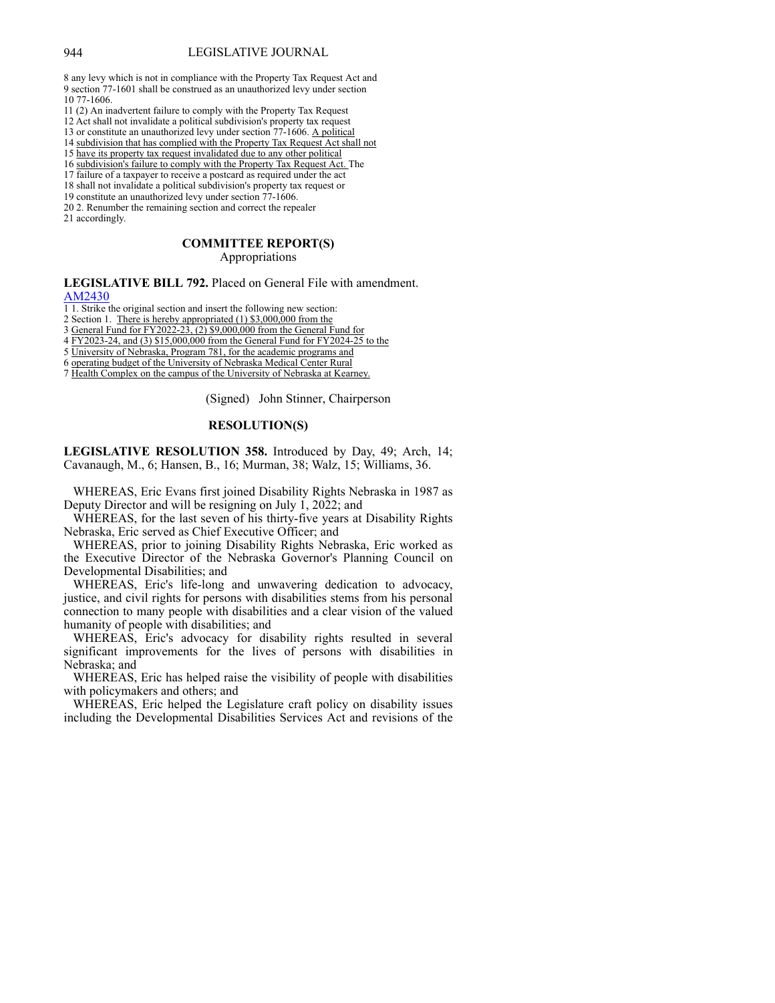#### 944 LEGISLATIVE JOURNAL

8 any levy which is not in compliance with the Property Tax Request Act and 9 section 77-1601 shall be construed as an unauthorized levy under section 10 77-1606.

- 11 (2) An inadvertent failure to comply with the Property Tax Request
- 12 Act shall not invalidate a political subdivision's property tax request
- 13 or constitute an unauthorized levy under section 77-1606. A political
- 14 subdivision that has complied with the Property Tax Request Act shall not 15 have its property tax request invalidated due to any other political
- 16 subdivision's failure to comply with the Property Tax Request Act. The
- 
- 17 failure of a taxpayer to receive a postcard as required under the act
- 18 shall not invalidate a political subdivision's property tax request or
- 19 constitute an unauthorized levy under section 77-1606. 20 2. Renumber the remaining section and correct the repealer

21 accordingly.

## **COMMITTEE REPORT(S)** Appropriations

**LEGISLATIVE BILL 792.** Placed on General File with amendment. [AM2430](https://www.nebraskalegislature.gov/FloorDocs/107/PDF/AM/AM2430.pdf)

1 1. Strike the original section and insert the following new section:

2 Section 1. There is hereby appropriated (1) \$3,000,000 from the

3 General Fund for FY2022-23, (2) \$9,000,000 from the General Fund for

4 FY2023-24, and (3) \$15,000,000 from the General Fund for FY2024-25 to the

- 5 University of Nebraska, Program 781, for the academic programs and
- 6 operating budget of the University of Nebraska Medical Center Rural

7 Health Complex on the campus of the University of Nebraska at Kearney.

(Signed) John Stinner, Chairperson

## **RESOLUTION(S)**

**LEGISLATIVE RESOLUTION 358.** Introduced by Day, 49; Arch, 14; Cavanaugh, M., 6; Hansen, B., 16; Murman, 38; Walz, 15; Williams, 36.

 WHEREAS, Eric Evans first joined Disability Rights Nebraska in 1987 as Deputy Director and will be resigning on July 1, 2022; and

 WHEREAS, for the last seven of his thirty-five years at Disability Rights Nebraska, Eric served as Chief Executive Officer; and

 WHEREAS, prior to joining Disability Rights Nebraska, Eric worked as the Executive Director of the Nebraska Governor's Planning Council on Developmental Disabilities; and

 WHEREAS, Eric's life-long and unwavering dedication to advocacy, justice, and civil rights for persons with disabilities stems from his personal connection to many people with disabilities and a clear vision of the valued humanity of people with disabilities; and

 WHEREAS, Eric's advocacy for disability rights resulted in several significant improvements for the lives of persons with disabilities in Nebraska; and

 WHEREAS, Eric has helped raise the visibility of people with disabilities with policymakers and others; and

 WHEREAS, Eric helped the Legislature craft policy on disability issues including the Developmental Disabilities Services Act and revisions of the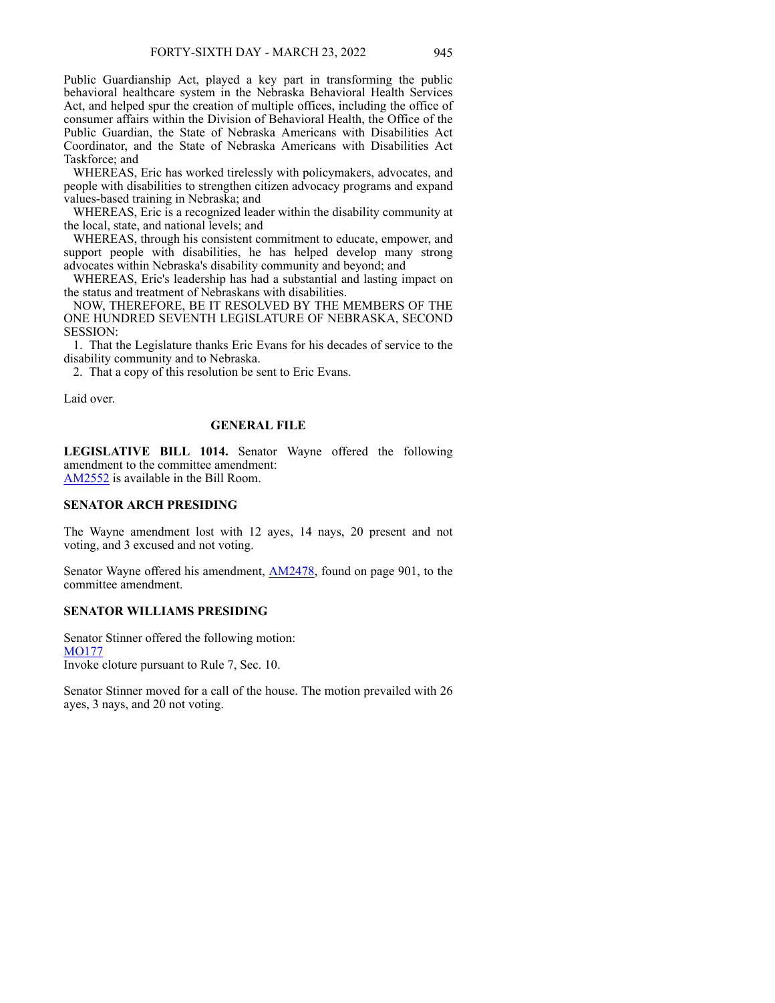Public Guardianship Act, played a key part in transforming the public behavioral healthcare system in the Nebraska Behavioral Health Services Act, and helped spur the creation of multiple offices, including the office of consumer affairs within the Division of Behavioral Health, the Office of the Public Guardian, the State of Nebraska Americans with Disabilities Act Coordinator, and the State of Nebraska Americans with Disabilities Act Taskforce; and

 WHEREAS, Eric has worked tirelessly with policymakers, advocates, and people with disabilities to strengthen citizen advocacy programs and expand values-based training in Nebraska; and

 WHEREAS, Eric is a recognized leader within the disability community at the local, state, and national levels; and

 WHEREAS, through his consistent commitment to educate, empower, and support people with disabilities, he has helped develop many strong advocates within Nebraska's disability community and beyond; and

 WHEREAS, Eric's leadership has had a substantial and lasting impact on the status and treatment of Nebraskans with disabilities.

 NOW, THEREFORE, BE IT RESOLVED BY THE MEMBERS OF THE ONE HUNDRED SEVENTH LEGISLATURE OF NEBRASKA, SECOND SESSION:

 1. That the Legislature thanks Eric Evans for his decades of service to the disability community and to Nebraska.

2. That a copy of this resolution be sent to Eric Evans.

Laid over.

# **GENERAL FILE**

**LEGISLATIVE BILL 1014.** Senator Wayne offered the following amendment to the committee amendment: [AM2552](https://www.nebraskalegislature.gov/FloorDocs/107/PDF/AM/AM2552.pdf) is available in the Bill Room.

#### **SENATOR ARCH PRESIDING**

The Wayne amendment lost with 12 ayes, 14 nays, 20 present and not voting, and 3 excused and not voting.

Senator Wayne offered his amendment, **[AM2478](https://www.nebraskalegislature.gov/FloorDocs/107/PDF/AM/AM2478.pdf)**, found on page 901, to the committee amendment.

# **SENATOR WILLIAMS PRESIDING**

Senator Stinner offered the following motion: [MO177](https://www.nebraskalegislature.gov/FloorDocs/107/PDF/AM/MO177.pdf) Invoke cloture pursuant to Rule 7, Sec. 10.

Senator Stinner moved for a call of the house. The motion prevailed with 26 ayes, 3 nays, and 20 not voting.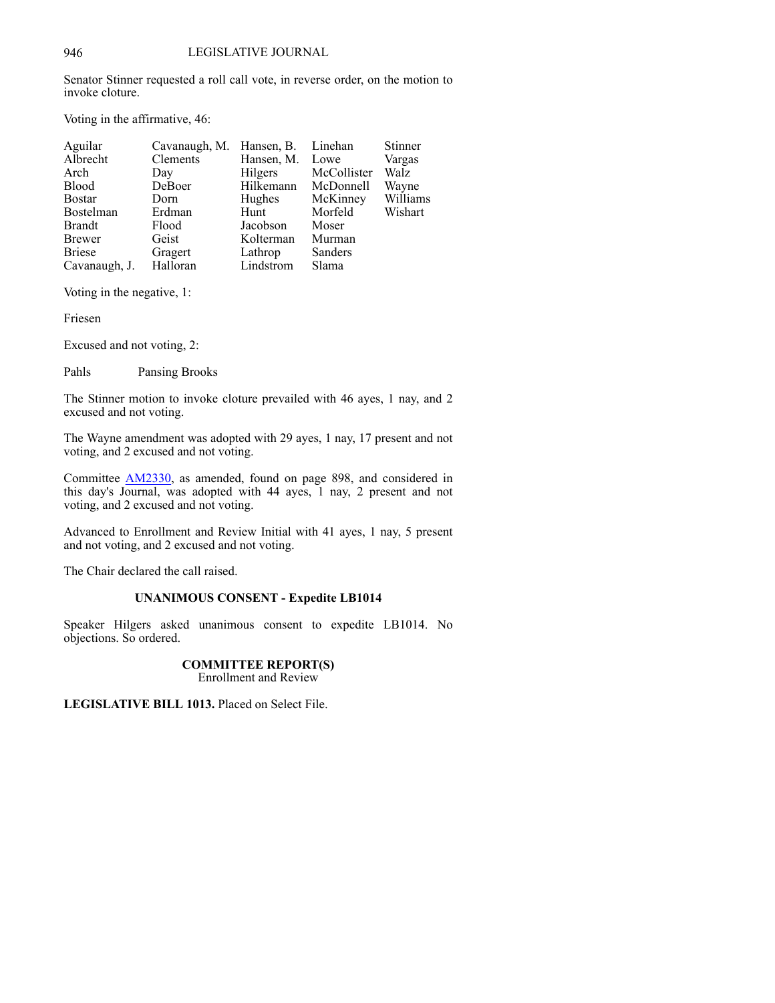Senator Stinner requested a roll call vote, in reverse order, on the motion to invoke cloture.

Voting in the affirmative, 46:

| Aguilar       | Cavanaugh, M. Hansen, B. |                 | Linehan     | Stinner     |
|---------------|--------------------------|-----------------|-------------|-------------|
| Albrecht      | Clements                 | Hansen, M. Lowe |             | Vargas      |
| Arch          | Day                      | Hilgers         | McCollister | <b>Walz</b> |
| <b>Blood</b>  | DeBoer                   | Hilkemann       | McDonnell   | Wayne       |
| <b>Bostar</b> | Dorn                     | Hughes          | McKinney    | Williams    |
| Bostelman     | Erdman                   | Hunt            | Morfeld     | Wishart     |
| Brandt        | Flood                    | Jacobson        | Moser       |             |
| <b>Brewer</b> | Geist                    | Kolterman       | Murman      |             |
| <b>Briese</b> | Gragert                  | Lathrop         | Sanders     |             |
| Cavanaugh, J. | Halloran                 | Lindstrom       | Slama       |             |

Voting in the negative, 1:

Friesen

Excused and not voting, 2:

Pahls Pansing Brooks

The Stinner motion to invoke cloture prevailed with 46 ayes, 1 nay, and 2 excused and not voting.

The Wayne amendment was adopted with 29 ayes, 1 nay, 17 present and not voting, and 2 excused and not voting.

Committee [AM2330](https://www.nebraskalegislature.gov/FloorDocs/107/PDF/AM/AM2330.pdf), as amended, found on page 898, and considered in this day's Journal, was adopted with 44 ayes, 1 nay, 2 present and not voting, and 2 excused and not voting.

Advanced to Enrollment and Review Initial with 41 ayes, 1 nay, 5 present and not voting, and 2 excused and not voting.

The Chair declared the call raised.

# **UNANIMOUS CONSENT - Expedite LB1014**

Speaker Hilgers asked unanimous consent to expedite LB1014. No objections. So ordered.

# **COMMITTEE REPORT(S)**

Enrollment and Review

**LEGISLATIVE BILL 1013.** Placed on Select File.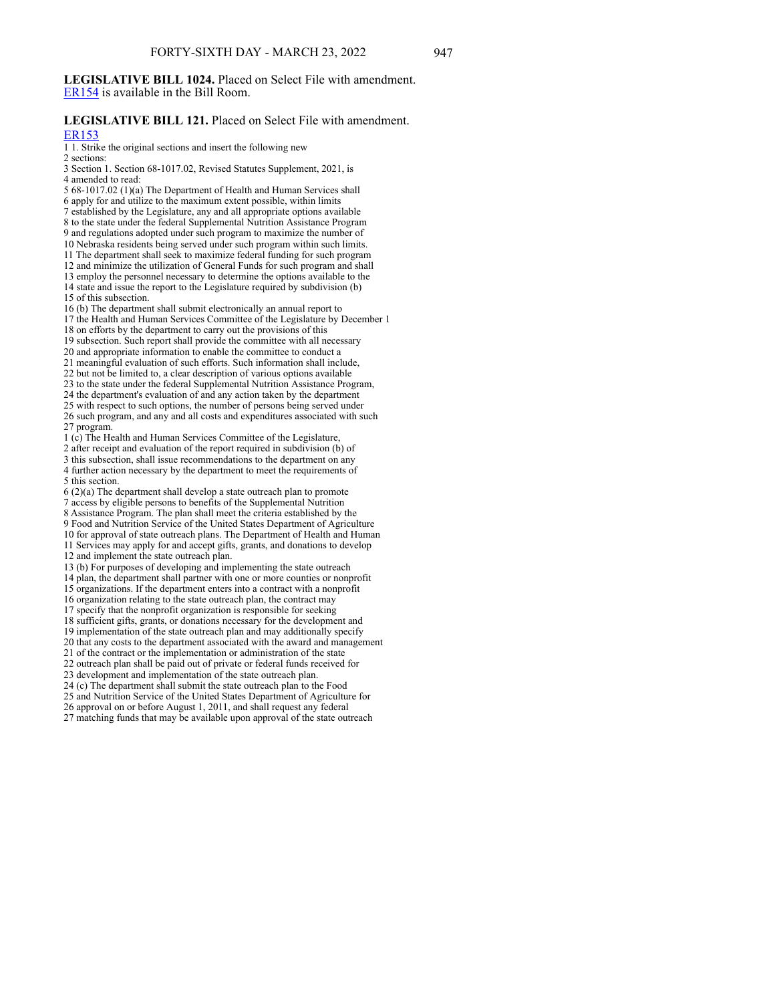## **LEGISLATIVE BILL 1024.** Placed on Select File with amendment. [ER154](https://www.nebraskalegislature.gov/FloorDocs/107/PDF/AM/ER154.pdf) is available in the Bill Room.

# **LEGISLATIVE BILL 121.** Placed on Select File with amendment.

[ER153](https://www.nebraskalegislature.gov/FloorDocs/107/PDF/AM/ER153.pdf)

1 1. Strike the original sections and insert the following new

2 sections: 3 Section 1. Section 68-1017.02, Revised Statutes Supplement, 2021, is 4 amended to read:

5 68-1017.02 (1)(a) The Department of Health and Human Services shall 6 apply for and utilize to the maximum extent possible, within limits 7 established by the Legislature, any and all appropriate options available 8 to the state under the federal Supplemental Nutrition Assistance Program 9 and regulations adopted under such program to maximize the number of 10 Nebraska residents being served under such program within such limits. 11 The department shall seek to maximize federal funding for such program 12 and minimize the utilization of General Funds for such program and shall 13 employ the personnel necessary to determine the options available to the 14 state and issue the report to the Legislature required by subdivision (b) 15 of this subsection. 16 (b) The department shall submit electronically an annual report to 17 the Health and Human Services Committee of the Legislature by December 1 18 on efforts by the department to carry out the provisions of this 19 subsection. Such report shall provide the committee with all necessary 20 and appropriate information to enable the committee to conduct a 21 meaningful evaluation of such efforts. Such information shall include, 22 but not be limited to, a clear description of various options available 23 to the state under the federal Supplemental Nutrition Assistance Program, 24 the department's evaluation of and any action taken by the department 25 with respect to such options, the number of persons being served under 26 such program, and any and all costs and expenditures associated with such 27 program. 1 (c) The Health and Human Services Committee of the Legislature, 2 after receipt and evaluation of the report required in subdivision (b) of 3 this subsection, shall issue recommendations to the department on any 4 further action necessary by the department to meet the requirements of 5 this section. 6 (2)(a) The department shall develop a state outreach plan to promote 7 access by eligible persons to benefits of the Supplemental Nutrition 8 Assistance Program. The plan shall meet the criteria established by the 9 Food and Nutrition Service of the United States Department of Agriculture 10 for approval of state outreach plans. The Department of Health and Human 11 Services may apply for and accept gifts, grants, and donations to develop 12 and implement the state outreach plan. 13 (b) For purposes of developing and implementing the state outreach 14 plan, the department shall partner with one or more counties or nonprofit 15 organizations. If the department enters into a contract with a nonprofit 16 organization relating to the state outreach plan, the contract may 17 specify that the nonprofit organization is responsible for seeking 18 sufficient gifts, grants, or donations necessary for the development and 19 implementation of the state outreach plan and may additionally specify 20 that any costs to the department associated with the award and management 21 of the contract or the implementation or administration of the state 22 outreach plan shall be paid out of private or federal funds received for 23 development and implementation of the state outreach plan. 24 (c) The department shall submit the state outreach plan to the Food

25 and Nutrition Service of the United States Department of Agriculture for 26 approval on or before August 1, 2011, and shall request any federal 27 matching funds that may be available upon approval of the state outreach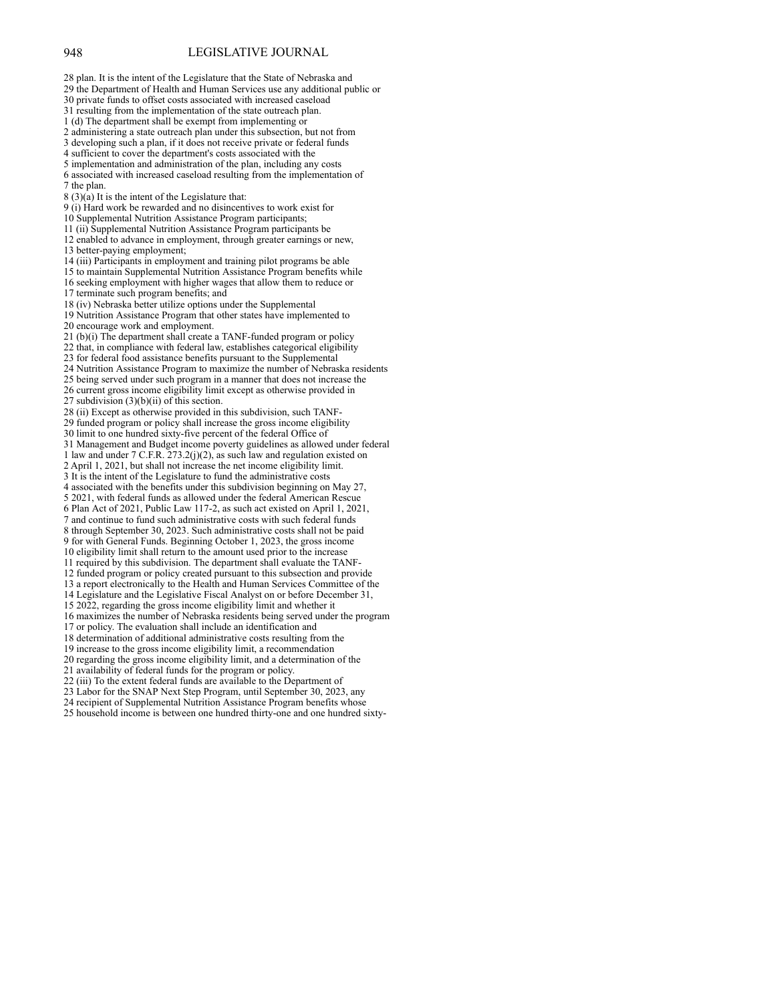#### 948 LEGISLATIVE JOURNAL

28 plan. It is the intent of the Legislature that the State of Nebraska and 29 the Department of Health and Human Services use any additional public or 30 private funds to offset costs associated with increased caseload 31 resulting from the implementation of the state outreach plan. 1 (d) The department shall be exempt from implementing or 2 administering a state outreach plan under this subsection, but not from 3 developing such a plan, if it does not receive private or federal funds 4 sufficient to cover the department's costs associated with the 5 implementation and administration of the plan, including any costs 6 associated with increased caseload resulting from the implementation of 7 the plan.  $8(3)(a)$  It is the intent of the Legislature that: 9 (i) Hard work be rewarded and no disincentives to work exist for 10 Supplemental Nutrition Assistance Program participants; 11 (ii) Supplemental Nutrition Assistance Program participants be 12 enabled to advance in employment, through greater earnings or new, 13 better-paying employment; 14 (iii) Participants in employment and training pilot programs be able 15 to maintain Supplemental Nutrition Assistance Program benefits while 16 seeking employment with higher wages that allow them to reduce or 17 terminate such program benefits; and 18 (iv) Nebraska better utilize options under the Supplemental 19 Nutrition Assistance Program that other states have implemented to 20 encourage work and employment. 21 (b)(i) The department shall create a TANF-funded program or policy 22 that, in compliance with federal law, establishes categorical eligibility 23 for federal food assistance benefits pursuant to the Supplemental 24 Nutrition Assistance Program to maximize the number of Nebraska residents 25 being served under such program in a manner that does not increase the 26 current gross income eligibility limit except as otherwise provided in 27 subdivision  $(3)(b)(ii)$  of this section. 28 (ii) Except as otherwise provided in this subdivision, such TANF-29 funded program or policy shall increase the gross income eligibility 30 limit to one hundred sixty-five percent of the federal Office of 31 Management and Budget income poverty guidelines as allowed under federal 1 law and under 7 C.F.R. 273.2(j)(2), as such law and regulation existed on 2 April 1, 2021, but shall not increase the net income eligibility limit. 3 It is the intent of the Legislature to fund the administrative costs 4 associated with the benefits under this subdivision beginning on May 27, 5 2021, with federal funds as allowed under the federal American Rescue 6 Plan Act of 2021, Public Law 117-2, as such act existed on April 1, 2021, 7 and continue to fund such administrative costs with such federal funds 8 through September 30, 2023. Such administrative costs shall not be paid 9 for with General Funds. Beginning October 1, 2023, the gross income 10 eligibility limit shall return to the amount used prior to the increase 11 required by this subdivision. The department shall evaluate the TANF-12 funded program or policy created pursuant to this subsection and provide 13 a report electronically to the Health and Human Services Committee of the 14 Legislature and the Legislative Fiscal Analyst on or before December 31, 15 2022, regarding the gross income eligibility limit and whether it 16 maximizes the number of Nebraska residents being served under the program 17 or policy. The evaluation shall include an identification and 18 determination of additional administrative costs resulting from the 19 increase to the gross income eligibility limit, a recommendation 20 regarding the gross income eligibility limit, and a determination of the 21 availability of federal funds for the program or policy. 22 (iii) To the extent federal funds are available to the Department of 23 Labor for the SNAP Next Step Program, until September 30, 2023, any 24 recipient of Supplemental Nutrition Assistance Program benefits whose

25 household income is between one hundred thirty-one and one hundred sixty-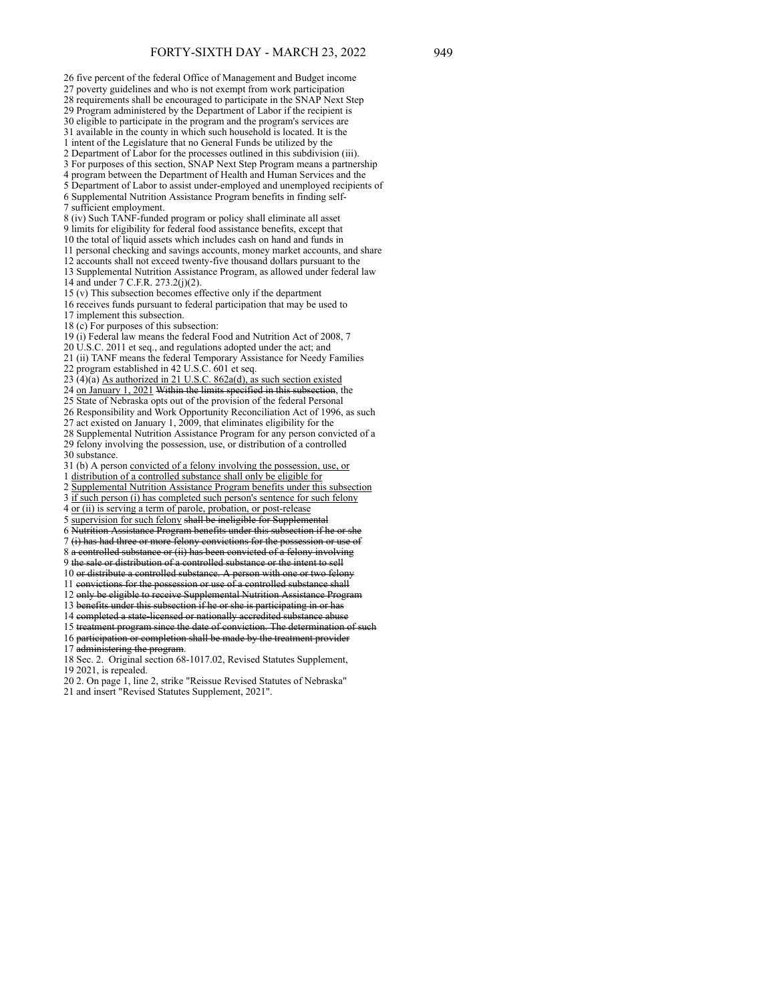26 five percent of the federal Office of Management and Budget income 27 poverty guidelines and who is not exempt from work participation 28 requirements shall be encouraged to participate in the SNAP Next Step 29 Program administered by the Department of Labor if the recipient is 30 eligible to participate in the program and the program's services are 31 available in the county in which such household is located. It is the 1 intent of the Legislature that no General Funds be utilized by the 2 Department of Labor for the processes outlined in this subdivision (iii). 3 For purposes of this section, SNAP Next Step Program means a partnership 4 program between the Department of Health and Human Services and the 5 Department of Labor to assist under-employed and unemployed recipients of 6 Supplemental Nutrition Assistance Program benefits in finding self-7 sufficient employment. 8 (iv) Such TANF-funded program or policy shall eliminate all asset 9 limits for eligibility for federal food assistance benefits, except that 10 the total of liquid assets which includes cash on hand and funds in 11 personal checking and savings accounts, money market accounts, and share 12 accounts shall not exceed twenty-five thousand dollars pursuant to the 13 Supplemental Nutrition Assistance Program, as allowed under federal law 14 and under 7 C.F.R. 273.2(j)(2). 15 (v) This subsection becomes effective only if the department 16 receives funds pursuant to federal participation that may be used to 17 implement this subsection. 18 (c) For purposes of this subsection: 19 (i) Federal law means the federal Food and Nutrition Act of 2008, 7  $20$  U.S.C. 2011 et seq., and regulations adopted under the act; and 21 (ii) TANF means the federal Temporary Assistance for Needy Families 22 program established in 42 U.S.C. 601 et seq. 23 (4)(a) As authorized in 21 U.S.C. 862a(d), as such section existed 24 on January 1, 2021 Within the limits specified in this subsection, the 25 State of Nebraska opts out of the provision of the federal Personal 26 Responsibility and Work Opportunity Reconciliation Act of 1996, as such 27 act existed on January 1, 2009, that eliminates eligibility for the 28 Supplemental Nutrition Assistance Program for any person convicted of a 29 felony involving the possession, use, or distribution of a controlled 30 substance. 31 (b) A person convicted of a felony involving the possession, use, or 1 distribution of a controlled substance shall only be eligible for 2 Supplemental Nutrition Assistance Program benefits under this subsection 3 if such person (i) has completed such person's sentence for such felony 4 or (ii) is serving a term of parole, probation, or post-release 5 supervision for such felony shall be ineligible for Supplemental 6 Nutrition Assistance Program benefits under this subsection if he or 7 (i) has had three or more felony convictions for the possession or use of 8 a controlled substance or (ii) has been convicted of a felony involving 9 the sale or distribution of a controlled substance or the intent to sell 10 or distribute a controlled substance. A person with one or two felony 11 convictions for the possession or use of a controlled substance shall 12 only be eligible to receive Supplemental Nutrition Assistance Program 12 din, et trighted in the subsection if he or she is participating in or has 14 completed a state-licensed or nationally accredited substance abuse 15 treatment program since the date of conviction. The determination of s 16 participation or completion shall be made by the treatment provider

17 administering the program.

18 Sec. 2. Original section 68-1017.02, Revised Statutes Supplement, 19 2021, is repealed.

- 20 2. On page 1, line 2, strike "Reissue Revised Statutes of Nebraska"
- 21 and insert "Revised Statutes Supplement, 2021".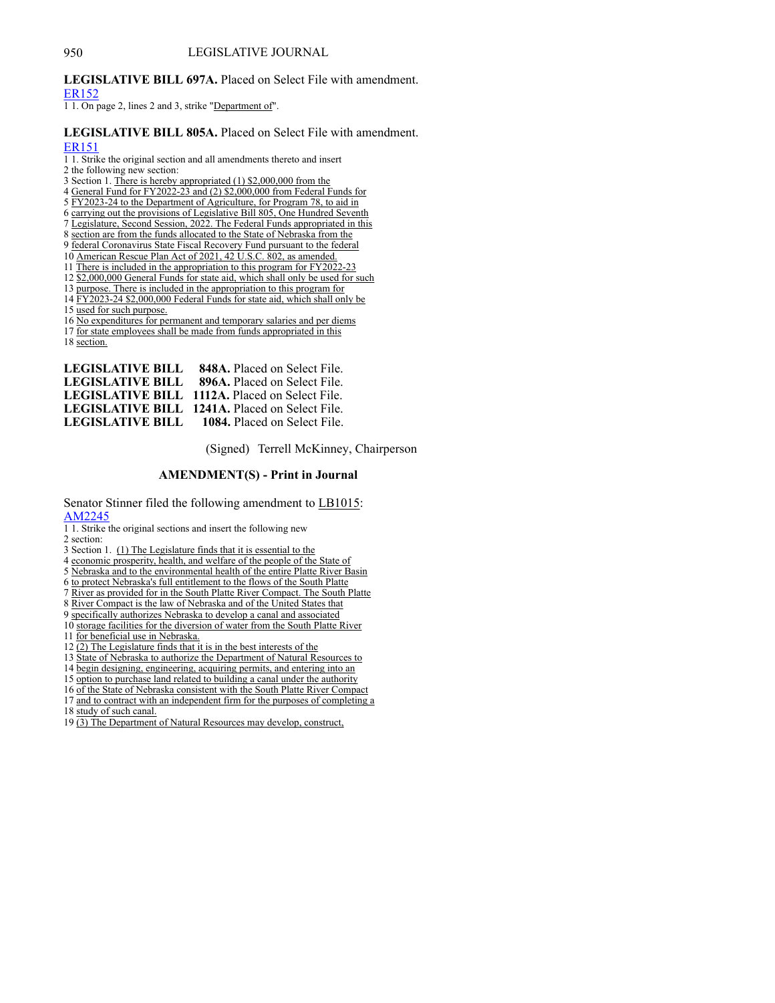# 950 LEGISLATIVE JOURNAL

# **LEGISLATIVE BILL 697A.** Placed on Select File with amendment.

[ER152](https://www.nebraskalegislature.gov/FloorDocs/107/PDF/AM/ER152.pdf)

1 1. On page 2, lines 2 and 3, strike "Department of".

# **LEGISLATIVE BILL 805A.** Placed on Select File with amendment. [ER151](https://www.nebraskalegislature.gov/FloorDocs/107/PDF/AM/ER151.pdf)

- 1 1. Strike the original section and all amendments thereto and insert
- 2 the following new section:
- 3 Section 1. There is hereby appropriated (1) \$2,000,000 from the
- 4 General Fund for FY2022-23 and (2) \$2,000,000 from Federal Funds for
- 5 FY2023-24 to the Department of Agriculture, for Program 78, to aid in
- 6 carrying out the provisions of Legislative Bill 805, One Hundred Seventh
- 7 Legislature, Second Session, 2022. The Federal Funds appropriated in this
- 8 section are from the funds allocated to the State of Nebraska from the
- 9 federal Coronavirus State Fiscal Recovery Fund pursuant to the federal 10 American Rescue Plan Act of 2021, 42 U.S.C. 802, as amended.
- 11 There is included in the appropriation to this program for FY2022-23
- 12 \$2,000,000 General Funds for state aid, which shall only be used for such
- 
- 13 purpose. There is included in the appropriation to this program for 14 FY2023-24 \$2,000,000 Federal Funds for state aid, which shall only be
- 15 used for such purpose.

16 No expenditures for permanent and temporary salaries and per diems

- 17 for state employees shall be made from funds appropriated in this
- 18 section.

| <b>LEGISLATIVE BILL 848A.</b> Placed on Select File.  |
|-------------------------------------------------------|
| <b>LEGISLATIVE BILL 896A. Placed on Select File.</b>  |
| <b>LEGISLATIVE BILL 1112A.</b> Placed on Select File. |
| <b>LEGISLATIVE BILL 1241A.</b> Placed on Select File. |
| <b>LEGISLATIVE BILL</b> 1084. Placed on Select File.  |

(Signed) Terrell McKinney, Chairperson

# **AMENDMENT(S) - Print in Journal**

Senator Stinner filed the following amendment to LB1015: [AM2245](https://www.nebraskalegislature.gov/FloorDocs/107/PDF/AM/AM2245.pdf)

- 
- 1 1. Strike the original sections and insert the following new
- 2 section:
- 3 Section 1. (1) The Legislature finds that it is essential to the
- 4 economic prosperity, health, and welfare of the people of the State of
- 5 Nebraska and to the environmental health of the entire Platte River Basin
- 6 to protect Nebraska's full entitlement to the flows of the South Platte
- 7 River as provided for in the South Platte River Compact. The South Platte
- 8 River Compact is the law of Nebraska and of the United States that
- 9 specifically authorizes Nebraska to develop a canal and associated
- 10 storage facilities for the diversion of water from the South Platte River
- 11 for beneficial use in Nebraska.
- 12 (2) The Legislature finds that it is in the best interests of the
- 13 State of Nebraska to authorize the Department of Natural Resources to
- 14 begin designing, engineering, acquiring permits, and entering into an
- 
- 15 option to purchase land related to building a canal under the authority
- 16 of the State of Nebraska consistent with the South Platte River Compact 17 and to contract with an independent firm for the purposes of completing a
- 18 study of such canal.
- 19 (3) The Department of Natural Resources may develop, construct,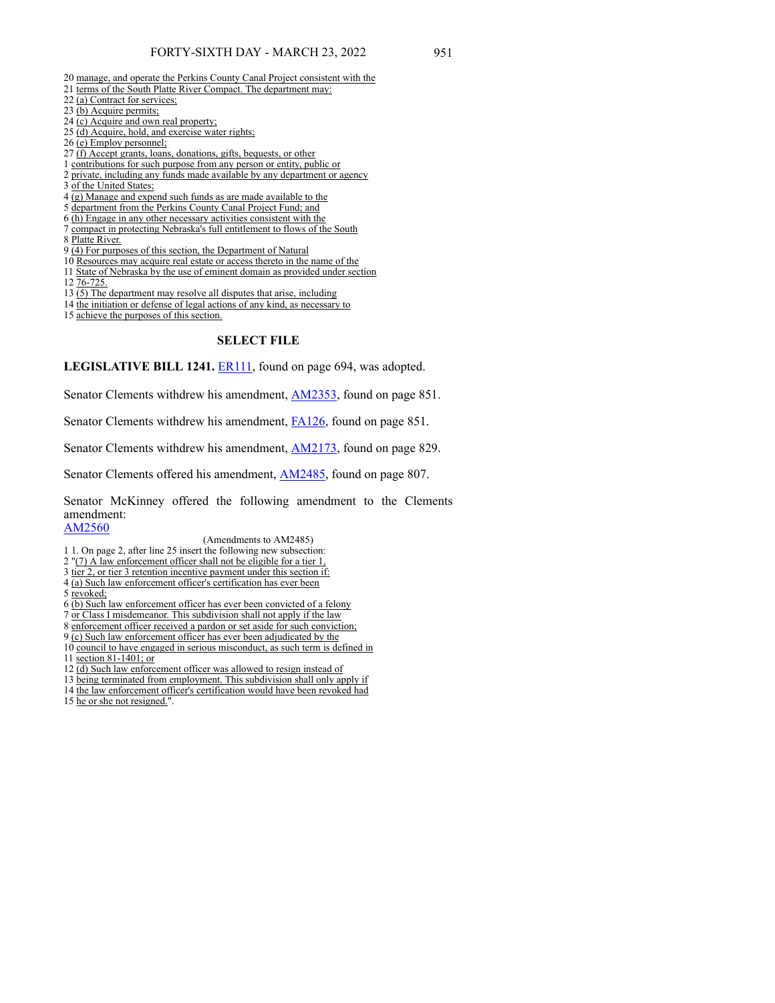- 20 manage, and operate the Perkins County Canal Project consistent with the
- 21 terms of the South Platte River Compact. The department may:
- 22 (a) Contract for services;
- 23 (b) Acquire permits;
- 24 (c) Acquire and own real property;
- 25 (d) Acquire, hold, and exercise water rights;
- 26 (e) Employ personnel;
- 27 (f) Accept grants, loans, donations, gifts, bequests, or other
- 1 contributions for such purpose from any person or entity, public or
- 2 private, including any funds made available by any department or agency
- 3 of the United States;
- 4 (g) Manage and expend such funds as are made available to the
- 5 department from the Perkins County Canal Project Fund; and
- 6 (h) Engage in any other necessary activities consistent with the
- 7 compact in protecting Nebraska's full entitlement to flows of the South 8 Platte River.
- 9 (4) For purposes of this section, the Department of Natural
- 10 Resources may acquire real estate or access thereto in the name of the
- 11 State of Nebraska by the use of eminent domain as provided under section 12 76-725.
- 
- 13 (5) The department may resolve all disputes that arise, including
- 14 the initiation or defense of legal actions of any kind, as necessary to
- 15 achieve the purposes of this section.

### **SELECT FILE**

**LEGISLATIVE BILL 1241.** [ER111](https://www.nebraskalegislature.gov/FloorDocs/107/PDF/AM/ER111.pdf), found on page 694, was adopted.

Senator Clements withdrew his amendment, [AM2353](https://www.nebraskalegislature.gov/FloorDocs/107/PDF/AM/AM2353.pdf), found on page 851.

Senator Clements withdrew his amendment, [FA126](https://www.nebraskalegislature.gov/FloorDocs/107/PDF/AM/FA126.pdf), found on page 851.

Senator Clements withdrew his amendment, [AM2173](https://www.nebraskalegislature.gov/FloorDocs/107/PDF/AM/AM2173.pdf), found on page 829.

Senator Clements offered his amendment, **[AM2485](https://www.nebraskalegislature.gov/FloorDocs/107/PDF/AM/AM2485.pdf)**, found on page 807.

Senator McKinney offered the following amendment to the Clements amendment:

[AM2560](https://www.nebraskalegislature.gov/FloorDocs/107/PDF/AM/AM2560.pdf)

(Amendments to AM2485)

- 1 1. On page 2, after line 25 insert the following new subsection:
- 2 "(7) A law enforcement officer shall not be eligible for a tier 1,
- 3 tier 2, or tier 3 retention incentive payment under this section if:
- 4 (a) Such law enforcement officer's certification has ever been
- 5 revoked;
- 6 (b) Such law enforcement officer has ever been convicted of a felony
- 7 or Class I misdemeanor. This subdivision shall not apply if the law
- 8 enforcement officer received a pardon or set aside for such conviction;
- 9 (c) Such law enforcement officer has ever been adjudicated by the
- 10 council to have engaged in serious misconduct, as such term is defined in 11 section 81-1401; or
- 
- 12 (d) Such law enforcement officer was allowed to resign instead of
- 13 being terminated from employment. This subdivision shall only apply if
- 14 the law enforcement officer's certification would have been revoked had
- 15 he or she not resigned.".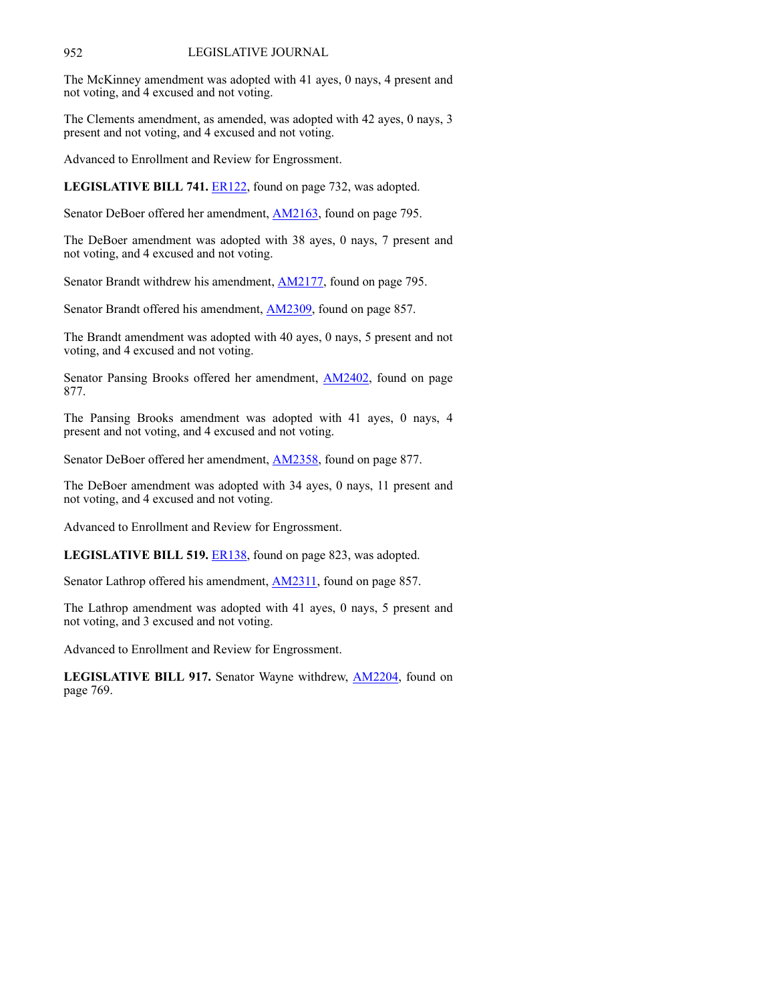# 952 LEGISLATIVE JOURNAL

The McKinney amendment was adopted with 41 ayes, 0 nays, 4 present and not voting, and 4 excused and not voting.

The Clements amendment, as amended, was adopted with 42 ayes, 0 nays, 3 present and not voting, and 4 excused and not voting.

Advanced to Enrollment and Review for Engrossment.

**LEGISLATIVE BILL 741.** [ER122](https://www.nebraskalegislature.gov/FloorDocs/107/PDF/AM/ER122.pdf), found on page 732, was adopted.

Senator DeBoer offered her amendment, **AM2163**, found on page 795.

The DeBoer amendment was adopted with 38 ayes, 0 nays, 7 present and not voting, and 4 excused and not voting.

Senator Brandt withdrew his amendment, **AM2177**, found on page 795.

Senator Brandt offered his amendment, **AM2309**, found on page 857.

The Brandt amendment was adopted with 40 ayes, 0 nays, 5 present and not voting, and 4 excused and not voting.

Senator Pansing Brooks offered her amendment, **AM2402**, found on page 877.

The Pansing Brooks amendment was adopted with 41 ayes, 0 nays, 4 present and not voting, and 4 excused and not voting.

Senator DeBoer offered her amendment, [AM2358,](https://www.nebraskalegislature.gov/FloorDocs/107/PDF/AM/AM2358.pdf) found on page 877.

The DeBoer amendment was adopted with 34 ayes, 0 nays, 11 present and not voting, and 4 excused and not voting.

Advanced to Enrollment and Review for Engrossment.

**LEGISLATIVE BILL 519.** [ER138](https://www.nebraskalegislature.gov/FloorDocs/107/PDF/AM/ER138.pdf), found on page 823, was adopted.

Senator Lathrop offered his amendment, **AM2311**, found on page 857.

The Lathrop amendment was adopted with 41 ayes, 0 nays, 5 present and not voting, and 3 excused and not voting.

Advanced to Enrollment and Review for Engrossment.

**LEGISLATIVE BILL 917.** Senator Wayne withdrew, [AM2204,](https://www.nebraskalegislature.gov/FloorDocs/107/PDF/AM/AM2204.pdf) found on page 769.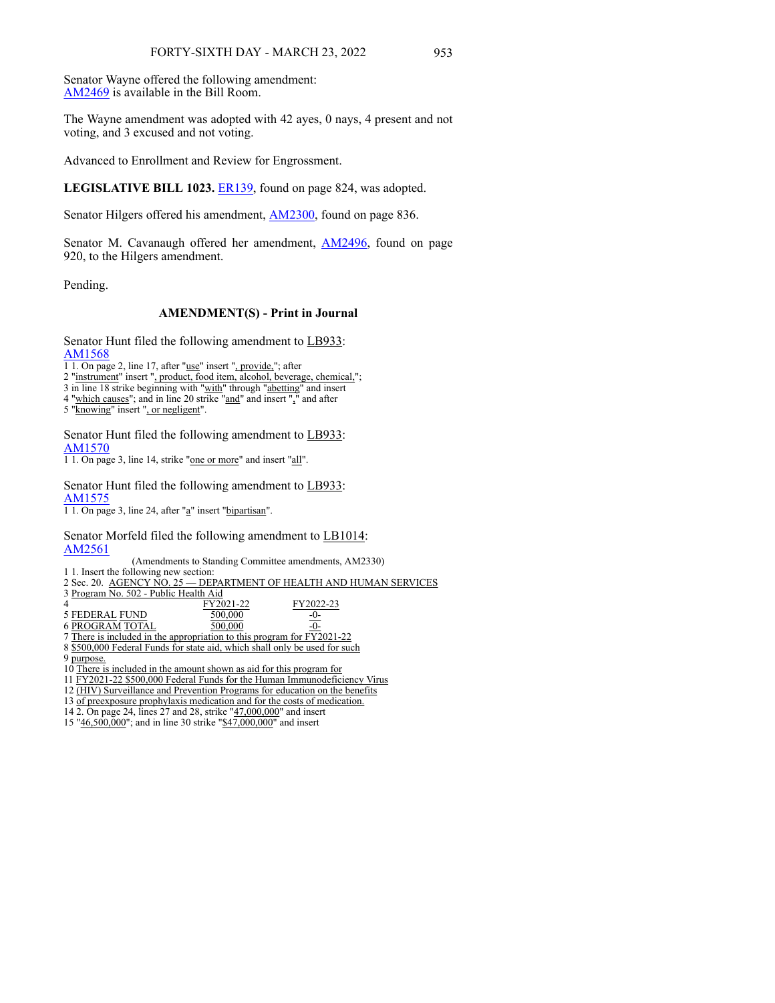Senator Wayne offered the following amendment: [AM2469](https://www.nebraskalegislature.gov/FloorDocs/107/PDF/AM/AM2469.pdf) is available in the Bill Room.

The Wayne amendment was adopted with 42 ayes, 0 nays, 4 present and not voting, and 3 excused and not voting.

Advanced to Enrollment and Review for Engrossment.

LEGISLATIVE BILL 1023. [ER139](https://www.nebraskalegislature.gov/FloorDocs/107/PDF/AM/ER139.pdf), found on page 824, was adopted.

Senator Hilgers offered his amendment, **AM2300**, found on page 836.

Senator M. Cavanaugh offered her amendment, [AM2496](https://www.nebraskalegislature.gov/FloorDocs/107/PDF/AM/AM2496.pdf), found on page 920, to the Hilgers amendment.

Pending.

## **AMENDMENT(S) - Print in Journal**

Senator Hunt filed the following amendment to LB933: [AM1568](https://www.nebraskalegislature.gov/FloorDocs/107/PDF/AM/AM1568.pdf)

1 1. On page 2, line 17, after "use" insert ", provide,"; after

2 "instrument" insert ", product, food item, alcohol, beverage, chemical,";

3 in line 18 strike beginning with "with" through "abetting" and insert

4 "which causes"; and in line 20 strike "and" and insert "," and after

5 "knowing" insert ", or negligent".

Senator Hunt filed the following amendment to LB933: [AM1570](https://www.nebraskalegislature.gov/FloorDocs/107/PDF/AM/AM1570.pdf)

1 1. On page 3, line 14, strike "one or more" and insert "all".

Senator Hunt filed the following amendment to LB933: [AM1575](https://www.nebraskalegislature.gov/FloorDocs/107/PDF/AM/AM1575.pdf)

1 1. On page 3, line 24, after "a" insert "bipartisan".

Senator Morfeld filed the following amendment to LB1014: [AM2561](https://www.nebraskalegislature.gov/FloorDocs/107/PDF/AM/AM2561.pdf)

(Amendments to Standing Committee amendments, AM2330)

1 1. Insert the following new section: 2 Sec. 20. AGENCY NO. 25 - DEPARTMENT OF HEALTH AND HUMAN SERVICES

3 Program No. 502 - Public Health Aid

FY2021-22<br>500,000 FY2022-23 5 FEDERAL FUND 500,000 -0-  $6 \overline{PROGRAM} \overline{TOTAL}$   $500,000$   $-0$ 

7 There is included in the appropriation to this program for FY2021-22

8 \$500,000 Federal Funds for state aid, which shall only be used for such 9 purpose.

10 There is included in the amount shown as aid for this program for

11 FY2021-22 \$500,000 Federal Funds for the Human Immunodeficiency Virus

12 (HIV) Surveillance and Prevention Programs for education on the benefits

13 of preexposure prophylaxis medication and for the costs of medication.

14 2. On page 24, lines 27 and 28, strike "47,000,000" and insert

15 "46,500,000"; and in line 30 strike "\$47,000,000" and insert